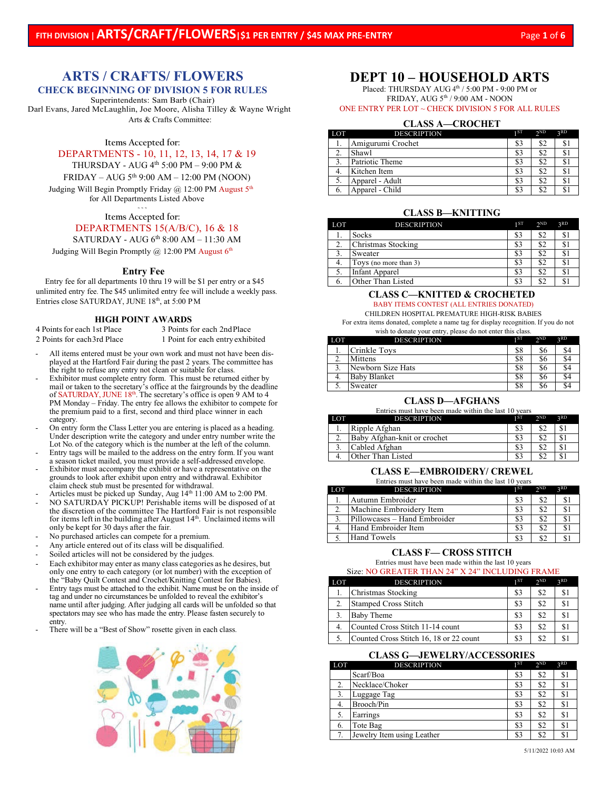# **ARTS / CRAFTS/ FLOWERS**

## **CHECK BEGINNING OF DIVISION 5 FOR RULES**

Superintendents: Sam Barb (Chair) Darl Evans, Jared McLaughlin, Joe Moore, Alisha Tilley & Wayne Wright Arts & Crafts Committee:

**Items Accepted for:**

DEPARTMENTS - 10, 11, 12, 13, 14, 17 & 19

THURSDAY - AUG  $4^{\text{th}}$  5:00 PM – 9:00 PM &

 $FRIDAY - AUG 5<sup>th</sup> 9:00 AM - 12:00 PM (NOON)$ 

Judging Will Begin Promptly Friday  $(a)$  12:00 PM August  $5<sup>th</sup>$ for All Departments Listed Above

> **~ ~ ~ Items Accepted for:**

## DEPARTMENTS 15(A/B/C), 16 & 18

SATURDAY - AUG  $6<sup>th</sup> 8:00$  AM  $- 11:30$  AM

Judging Will Begin Promptly @ 12:00 PM August 6<sup>th</sup>

#### **Entry Fee**

Entry fee for all departments 10 thru 19 will be \$1 per entry or a \$45 unlimited entry fee. The \$45 unlimited entry fee will include a weekly pass. Entries close SATURDAY, JUNE 18th, at 5:00 PM

# **HIGH POINT AWARDS**<br>4 Points for each 1st Place 3 Points 1

2 Points for each 3rd Place 1 Point for each entry exhibited

3 Points for each 2nd Place

- All items entered must be your own work and must not have been displayed at the Hartford Fair during the past 2 years. The committee has the right to refuse any entry not clean or suitable for class.
- Exhibitor must complete entry form. This must be returned either by mail or taken to the secretary's office at the fairgrounds by the deadline of SATURDAY, JUNE 18<sup>th</sup>. The secretary's office is open 9 AM to 4 PM Monday – Friday. The entry fee allows the exhibitor to compete for the premium paid to a first, second and third place winner in each category.
- On entry form the Class Letter you are entering is placed as a heading. Under description write the category and under entry number write the Lot No. of the category which is the number at the left of the column.
- Entry tags will be mailed to the address on the entry form. If you want a season ticket mailed, you must provide a self-addressed envelope.
- Exhibitor must accompany the exhibit or have a representative on the grounds to look after exhibit upon entry and withdrawal. Exhibitor claim check stub must be presented for withdrawal.
- Articles must be picked up Sunday, Aug  $14<sup>th</sup> 11:00$  AM to 2:00 PM.
- NO SATURDAY PICKUP! Perishable items will be disposed of at the discretion of the committee The Hartford Fair is not responsible for items left in the building after August  $14<sup>th</sup>$ . Unclaimed items will only be kept for 30 days after the fair.
- No purchased articles can compete for a premium.
- Any article entered out of its class will be disqualified.
- Soiled articles will not be considered by the judges.
- Each exhibitor may enter as many class categories as he desires, but only one entry to each category (or lot number) with the exception of the "Baby Quilt Contest and Crochet/Knitting Contest for Babies).
- Entry tags must be attached to the exhibit. Name must be on the inside of tag and under no circumstances be unfolded to reveal the exhibitor's name until after judging. After judging all cards will be unfolded so that spectators may see who has made the entry. Please fasten securely to entry.
- There will be a "Best of Show" rosette given in each class.



## **DEPT 10 – HOUSEHOLD ARTS**

Placed: THURSDAY AUG 4<sup>th</sup> / 5:00 PM - 9:00 PM or FRIDAY, AUG 5th / 9:00 AM - NOON

## ONE ENTRY PER LOT ~ CHECK DIVISION 5 FOR ALL RULES

## **CLASS A—CROCHET**

| LOT | <b>DESCRIPTION</b> | 1ST | 2 <sub>ND</sub> | 2RD |
|-----|--------------------|-----|-----------------|-----|
|     | Amigurumi Crochet  | \$3 | \$2             | \$  |
|     | Shawl              | \$3 | \$2             | \$  |
|     | Patriotic Theme    | \$3 | \$2             | \$  |
|     | Kitchen Item       | \$3 | \$2             | S)  |
|     | Apparel - Adult    | \$3 | \$2             | \$  |
|     | Apparel - Child    | \$3 | \$2             | \$  |

#### **CLASS B—KNITTING**

| LOT | <b>DESCRIPTION</b>    | 1ST | 2 <sub>ND</sub> | 2RD |
|-----|-----------------------|-----|-----------------|-----|
|     | <b>Socks</b>          | \$3 | \$2             | \$1 |
|     | Christmas Stocking    | \$3 | \$2             | \$  |
|     | Sweater               | \$3 | \$2             | \$. |
|     | Toys (no more than 3) | \$3 | \$2             | \$. |
|     | <b>Infant Apparel</b> | \$3 | \$2             | S.  |
|     | Other Than Listed     | \$3 | ¢٦              |     |

## **CLASS C—KNITTED & CROCHETED** BABY ITEMS CONTEST (ALL ENTRIES DONATED)

CHILDREN HOSPITAL PREMATURE HIGH-RISK BABIES For extra items donated, complete a name tag for display recognition. If you do not

wish to donate your entry, please do not enter this class.

| LOT | <b>DESCRIPTION</b>  | 1 ST | 2 <sub>ND</sub> | 2RD |
|-----|---------------------|------|-----------------|-----|
| .,  | Crinkle Toys        | \$8  | \$6             |     |
|     | Mittens             | \$8  | \$6             |     |
|     | Newborn Size Hats   | \$8  | \$6             |     |
| 4.  | <b>Baby Blanket</b> | \$8  | \$6             |     |
|     | Sweater             | \$8  | \$6             |     |

## **CLASS D—AFGHANS**

| Entries must have been made within the last 10 years |                             |     |     |     |  |  |  |
|------------------------------------------------------|-----------------------------|-----|-----|-----|--|--|--|
| <b>LOT</b>                                           | <b>DESCRIPTION</b>          | 1ST | 2ND | 2RD |  |  |  |
|                                                      | Ripple Afghan               | \$3 |     |     |  |  |  |
|                                                      | Baby Afghan-knit or crochet | \$3 |     |     |  |  |  |
|                                                      | Cabled Afghan               | \$3 |     |     |  |  |  |
|                                                      | Other Than Listed           |     |     |     |  |  |  |

## **CLASS E—EMBROIDERY/ CREWEL**

Entries must have been made within the last 10 years

| LOT | <b>DESCRIPTION</b>           | 1 ST | 2 <sub>ND</sub> | 2RD |
|-----|------------------------------|------|-----------------|-----|
|     | Autumn Embroider             | \$3  | \$2             | \$  |
|     | Machine Embroidery Item      | \$3  | \$2             | S   |
|     | Pillowcases - Hand Embroider | 83   | \$2             | S   |
|     | Hand Embroider Item          | S3   | \$2             | S   |
|     | <b>Hand Towels</b>           | \$3  |                 |     |

#### **CLASS F— CROSS STITCH**

#### Entries must have been made within the last 10 years

#### Size: NO GREATER THAN 24" X 24" INCLUDING FRAME

| <b>LOT</b> | <b>DESCRIPTION</b>                      | 1ST | 2 <sub>ND</sub> | 2RD            |
|------------|-----------------------------------------|-----|-----------------|----------------|
|            | Christmas Stocking                      | \$3 | \$2             | <sup>\$1</sup> |
|            | <b>Stamped Cross Stitch</b>             | \$3 | \$2             | S              |
| 3.         | Baby Theme                              | \$3 | \$2             | S <sup>1</sup> |
| 4.         | Counted Cross Stitch 11-14 count        | \$3 | \$2             | \$1            |
|            | Counted Cross Stitch 16, 18 or 22 count | \$3 | \$2             | $\mathcal{S}$  |

#### **CLASS G—JEWELRY/ACCESSORIES**

| LOT | <b>DESCRIPTION</b>         | 1ST | 2 <sub>ND</sub> | 3 <sub>RD</sub> |
|-----|----------------------------|-----|-----------------|-----------------|
|     | Scarf/Boa                  | \$3 | \$2             | \$1             |
| 2.  | Necklace/Choker            | \$3 | \$2             | \$1             |
| 3.  | Luggage Tag                | \$3 | \$2             | \$              |
| 4.  | Brooch/Pin                 | \$3 | \$2             | \$1             |
| -5. | Earrings                   | \$3 | \$2             | \$1             |
| 6.  | Tote Bag                   | \$3 | \$2             | \$.             |
| 7.  | Jewelry Item using Leather | \$3 | \$2             | $\mathbb{S}$    |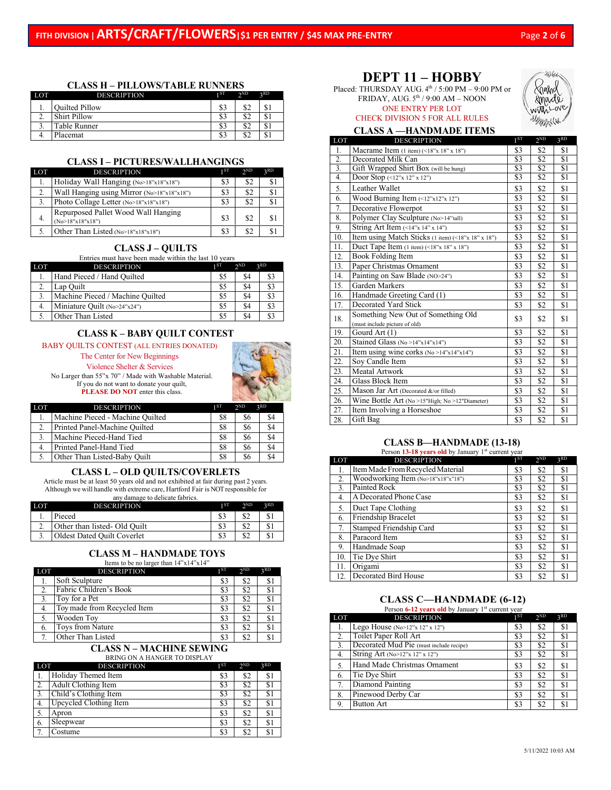IH be

## **CLASS H – PILLOWS/TABLE RUNNERS**

| LOT | <b>DESCRIPTION</b>    | 1 ST | $\gamma$ <sub>ND</sub> | 2RD               |
|-----|-----------------------|------|------------------------|-------------------|
| ı.  | <b>Ouilted Pillow</b> | \$3  | \$2                    | ¢<br>Φ.           |
| ٠.  | Shirt Pillow          | \$3  | \$2                    | $\triangle$<br>Φ. |
| J.  | Table Runner          | \$3  | \$2                    | $\triangle$<br>ФJ |
| т.  | Placemat              | \$3  | ¢٦<br>۵Z               | D.                |

#### **CLASS I – PICTURES/WALLHANGINGS**

| LOT | <b>DESCRIPTION</b>                                        | 1ST | 2 <sub>ND</sub> | 2RD            |
|-----|-----------------------------------------------------------|-----|-----------------|----------------|
| I.  | Holiday Wall Hanging (No>18"x18"x18")                     | \$3 | \$2             | <sup>\$1</sup> |
| 2.  | Wall Hanging using Mirror (No>18"x18"x18")                | \$3 | \$2             | S1             |
| 3.  | Photo Collage Letter (No>18"x18"x18")                     | \$3 | \$2             | S1             |
| 4.  | Repurposed Pallet Wood Wall Hanging<br>(No > 18"x18"x18") | \$3 | \$2             | \$1            |
|     | Other Than Listed (No>18"x18"x18")                        | \$3 | \$2             |                |

#### **CLASS J – QUILTS**

Entries must have been made within the last 10 years

| LOT | <b>DESCRIPTION</b>               | 1 ST | 2 <sub>ND</sub> | 2RD |
|-----|----------------------------------|------|-----------------|-----|
| ı.  | Hand Pieced / Hand Quilted       | \$5  | \$4             | \$3 |
|     | Lap Ouilt                        | \$5  | \$4             | \$3 |
|     | Machine Pieced / Machine Quilted | \$5  | \$4             | \$3 |
| 4.  | Miniature Quilt (No>24"x24")     | \$5  | \$4             | \$3 |
|     | Other Than Listed                | \$5  | \$4             | \$3 |

#### **CLASS K – BABY QUILT CONTEST**

## BABY QUILTS CONTEST (ALL ENTRIES DONATED)

The Center for New Beginnings

Violence Shelter & Services



No Larger than 55"x 70" / Made with Washable Material. If you do not want to donate your quilt, **PLEASE DO NOT** enter this class.

| LOT            | <b>DESCRIPTION</b>               | 1 ST | 2 <sub>ND</sub> | 2RD |  |
|----------------|----------------------------------|------|-----------------|-----|--|
|                | Machine Pieced - Machine Quilted | S8   | \$6             | \$4 |  |
|                | Printed Panel-Machine Quilted    | S8   | \$6             | \$4 |  |
| 3.             | Machine Pieced-Hand Tied         | \$8  | \$6             | \$4 |  |
| $\overline{4}$ | Printed Panel-Hand Tied          | S8   | \$6             | \$4 |  |
|                | Other Than Listed-Baby Quilt     | \$8  |                 | \$4 |  |

## **CLASS L – OLD QUILTS/COVERLETS**

Article must be at least 50 years old and not exhibited at fair during past 2 years. Although we will handle with extreme care, Hartford Fair is NOT responsible for any damage to delicate fabrics.

| LOT      | <b>DESCRIPTION</b>          | 1 ST | $\gamma$ <sub>ND</sub> | 2RD |  |
|----------|-----------------------------|------|------------------------|-----|--|
|          | Pieced                      |      |                        |     |  |
| <u>.</u> | Other than listed-Old Quilt |      |                        |     |  |
|          | Oldest Dated Quilt Coverlet |      |                        |     |  |

## **CLASS M – HANDMADE TOYS**

Items to be no larger than 14"x14"x14"

| LOT | <b>DESCRIPTION</b>          | 1ST | 2 <sub>ND</sub> | 2RD |
|-----|-----------------------------|-----|-----------------|-----|
|     | Soft Sculpture              | \$3 | \$2             | \$1 |
|     | Fabric Children's Book      | \$3 | \$2             | S.  |
|     | Toy for a Pet               | S3  | \$2             | \$1 |
| 4.  | Toy made from Recycled Item | \$3 | \$2             | S)  |
|     | Wooden Toy                  | \$3 | \$2             | \$1 |
| 6.  | Toys from Nature            | \$3 | \$2             | \$1 |
|     | Other Than Listed           |     | \$2             | S.  |

#### **CLASS N – MACHINE SEWING** BRING ON A HANGER TO DISPLAY

| <b>LOT</b> | <b>DESCRIPTION</b>     | 1ST | 2 <sub>ND</sub> | 2RD |
|------------|------------------------|-----|-----------------|-----|
|            | Holiday Themed Item    | \$3 | \$2             | \$1 |
|            | Adult Clothing Item    | \$3 | \$2             |     |
|            | Child's Clothing Item  | \$3 | \$2             | \$1 |
| 4.         | Upcycled Clothing Item | \$3 | \$2             | \$1 |
|            | Apron                  | \$3 | \$2             | \$1 |
| 6.         | Sleepwear              | \$3 | \$2             | \$1 |
|            | Costume                | \$3 | \$2             |     |

# **DEPT 11 – HOBBY**

Placed: THURSDAY AUG.  $4<sup>th</sup> / 5:00$  PM – 9:00 PM or FRIDAY, AUG.  $5^{\text{th}}$  /  $9:00$  AM – NOON

ONE ENTRY PER LOT CHECK DIVISION 5 FOR ALL RULES

**CLASS A —HANDMADE ITEMS**

| LOT              | <b>DESCRIPTION</b>                                                  | $1^{ST}$         | $2^{ND}$        | 3 <sup>RD</sup> |
|------------------|---------------------------------------------------------------------|------------------|-----------------|-----------------|
| 1.               | Macrame Item $(1$ item) $(518"x 18"x 18")$                          | \$3              | \$2             | \$1             |
| $\overline{2}$ . | Decorated Milk Can                                                  | $\overline{\$3}$ | \$2             | \$1             |
| 3.               | Gift Wrapped Shirt Box (will be hung)                               | \$3              | $\overline{52}$ | \$1             |
| 4.               | Door Stop (<12"x 12" x 12")                                         | \$3              | $\overline{52}$ | \$1             |
| 5.               | Leather Wallet                                                      | \$3              | \$2             | \$1             |
| 6.               | Wood Burning Item (<12"x12"x 12")                                   | \$3              | \$2             | \$1             |
| 7.               | Decorative Flowerpot                                                | \$3              | \$2             | \$1             |
| 8.               | Polymer Clay Sculpture (No>14"tall)                                 | \$3              | \$2             | \$1             |
| 9.               | String Art Item $(514"x 14"x 14")$                                  | \$3              | \$2             | \$1             |
| 10.              | Item using Match Sticks (1 item) (<18"x 18" x 18")                  | \$3              | \$2             | \$1             |
| 11.              | Duct Tape Item $(1$ item) $(518"x 18"x 18")$                        | \$3              | \$2             | \$1             |
| 12.              | Book Folding Item                                                   | \$3              | \$2             | \$1             |
| 13.              | Paper Christmas Ornament                                            | \$3              | \$2             | \$1             |
| 14.              | Painting on Saw Blade (NO>24")                                      | \$3              | \$2             | \$1             |
| 15.              | Garden Markers                                                      | \$3              | \$2             | \$1             |
| 16.              | Handmade Greeting Card (1)                                          | \$3              | \$2             | \$1             |
| 17.              | Decorated Yard Stick                                                | \$3              | \$2             | \$1             |
| 18.              | Something New Out of Something Old<br>(must include picture of old) | \$3              | \$2             | \$1             |
| 19.              | Gourd Art (1)                                                       | \$3              | \$2             | \$1             |
| 20.              | Stained Glass (No >14"x14"x14")                                     | \$3              | \$2             | \$1             |
| 21.              | Item using wine corks ( $No > 14$ " $x14$ " $x14$ ")                | \$3              | \$2             | \$1             |
| 22.              | Soy Candle Item                                                     | \$3              | \$2             | \$1             |
| 23.              | Meatal Artwork                                                      | \$3              | \$2             | \$1             |
| 24.              | Glass Block Item                                                    | \$3              | \$2             | \$1             |
| 25.              | Mason Jar Art (Decorated &/or filled)                               | \$3              | \$2             | \$1             |
| 26.              | Wine Bottle Art (No >15"High; No >12"Diameter)                      | \$3              | $\overline{32}$ | $\overline{S1}$ |
| 27.              | Item Involving a Horseshoe                                          | \$3              | \$2             | \$1             |
| 28.              | Gift Bag                                                            | \$3              | $\overline{$}$  | $\overline{$1}$ |

#### **CLASS B—HANDMADE (13-18)** Person 13-18 years old by January 1<sup>st</sup> current year

| LOT | <b>DESCRIPTION</b>                 | 1 <sup>ST</sup> | 2 <sub>ND</sub> | 3RD |
|-----|------------------------------------|-----------------|-----------------|-----|
| 1.  | Item Made From Recycled Material   | \$3             | \$2             | \$1 |
| 2.  | Woodworking Item (No>18"x18"x"18") | \$3             | \$2             | \$1 |
| 3.  | Painted Rock                       | \$3             | \$2             | \$1 |
| 4.  | A Decorated Phone Case             | \$3             | \$2             | \$1 |
| 5.  | Duct Tape Clothing                 | \$3             | \$2             | \$1 |
| 6.  | Friendship Bracelet                | \$3             | \$2             | \$1 |
| 7.  | Stamped Friendship Card            | \$3             | \$2             | \$1 |
| 8.  | Paracord Item                      | \$3             | \$2             | \$1 |
| 9.  | Handmade Soap                      | \$3             | \$2             | \$1 |
| 10. | Tie Dye Shirt                      | \$3             | \$2             | \$1 |
| 11. | Origami                            | \$3             | \$2             | \$1 |
| 12. | Decorated Bird House               | \$3             | \$2             | S1  |

#### **CLASS C—HANDMADE (6-12)** Person **6-12 years old** by January 1<sup>st</sup> current year

| LOT              | <b>DESCRIPTION</b>                      | 1 <sup>ST</sup> | 2 <sub>ND</sub> | 3RD |
|------------------|-----------------------------------------|-----------------|-----------------|-----|
| 1.               | Lego House (No>12"x 12" x 12")          | \$3             | \$2             | \$1 |
| 2.               | Toilet Paper Roll Art                   | S3              | \$2             | \$1 |
| $\overline{3}$ . | Decorated Mud Pie (must include recipe) | \$3             | \$2             | \$1 |
| 4.               | String Art (No>12"x 12" x 12")          | \$3             | \$2             | \$1 |
| 5.               | Hand Made Christmas Ornament            | \$3             | \$2             | \$1 |
| 6.               | Tie Dye Shirt                           | \$3             | \$2             | \$1 |
| 7.               | Diamond Painting                        | \$3             | \$2             | \$1 |
| 8.               | Pinewood Derby Car                      | \$3             | \$2             | \$1 |
| 9.               | <b>Button Art</b>                       | \$3             | \$2             | \$1 |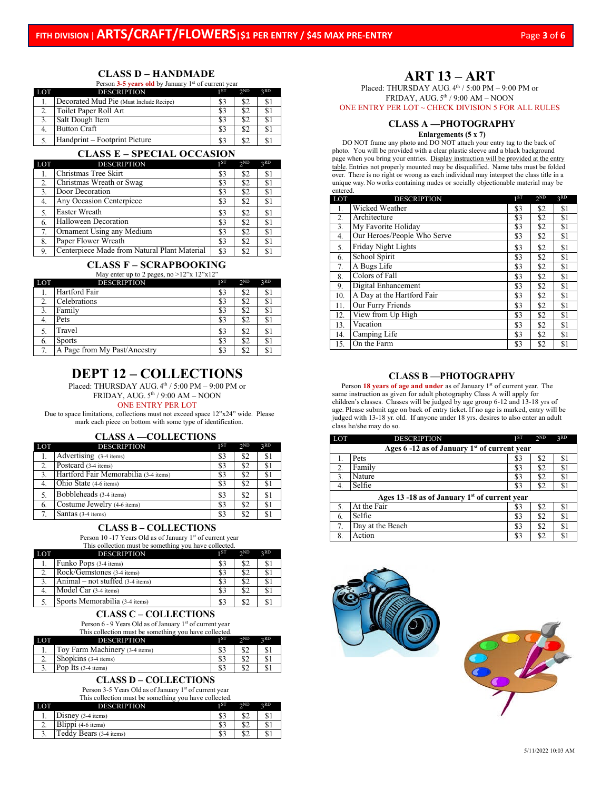## **CLASS D – HANDMADE**

Person 3-5 years old by January 1<sup>st</sup> of current year

| LOT | <b>DESCRIPTION</b>                      | 1ST | 2 <sub>ND</sub> | 2RD |
|-----|-----------------------------------------|-----|-----------------|-----|
|     | Decorated Mud Pie (Must Include Recipe) | \$3 | \$2             |     |
|     | Toilet Paper Roll Art                   | \$3 | \$2             |     |
|     | Salt Dough Item                         | 83  | \$2             |     |
| 4.  | <b>Button Craft</b>                     | 83  | \$2             |     |
|     | Handprint – Footprint Picture           |     | \$2             |     |

### **CLASS E – SPECIAL OCCASION**

| LOT | <b>DESCRIPTION</b>                           | 1 <sup>ST</sup> | 2ND | 3RD |
|-----|----------------------------------------------|-----------------|-----|-----|
|     | Christmas Tree Skirt                         | \$3             | \$2 | \$1 |
| 2.  | Christmas Wreath or Swag                     | \$3             | \$2 | \$1 |
| 3.  | Door Decoration                              | S3              | \$2 | \$1 |
| 4.  | Any Occasion Centerpiece                     | \$3             | \$2 | \$1 |
| 5.  | Easter Wreath                                | \$3             | \$2 | \$1 |
| 6.  | Halloween Decoration                         | \$3             | \$2 | \$1 |
| 7.  | Ornament Using any Medium                    | \$3             | \$2 | \$1 |
| 8.  | Paper Flower Wreath                          | \$3             | \$2 | \$1 |
| 9.  | Centerpiece Made from Natural Plant Material | \$3             | \$2 | \$1 |

#### **CLASS F – SCRAPBOOKING**  $M = 120 - 120 - 12$

| LOT | <b>DESCRIPTION</b>           | 1ST | 2 <sub>ND</sub> | 2RD |
|-----|------------------------------|-----|-----------------|-----|
|     | Hartford Fair                | \$3 | \$2             | \$1 |
|     | Celebrations                 | \$3 | \$2             | \$1 |
| 3.  | Family                       | \$3 | \$2             | \$1 |
| 4.  | Pets                         | \$3 | \$2             | \$1 |
| 5.  | Travel                       | \$3 | \$2             | \$1 |
| 6.  | <b>Sports</b>                | \$3 | \$2             | \$1 |
| 7.  | A Page from My Past/Ancestry | \$3 | \$2             | \$1 |

# **DEPT 12 – COLLECTIONS**

Placed: THURSDAY AUG. 4<sup>th</sup> / 5:00 PM – 9:00 PM or

FRIDAY, AUG. 5th / 9:00 AM – NOON

## ONE ENTRY PER LOT

Due to space limitations, collections must not exceed space 12"x24" wide. Please mark each piece on bottom with some type of identification.

#### **CLASS A —COLLECTIONS**

| <b>LOT</b> | <b>DESCRIPTION</b>                                  | 1ST | $2^{ND}$ | 2RD            |
|------------|-----------------------------------------------------|-----|----------|----------------|
| 1.         | $\overline{\text{Ad} \text{vertising}}$ (3-4 items) | \$3 | \$2      | \$1            |
| 2.         | Postcard (3-4 items)                                | \$3 | \$2      | \$1            |
| 3.         | Hartford Fair Memorabilia (3-4 items)               | \$3 | \$2      | S.             |
|            | Ohio State (4-6 items)                              | \$3 | \$2      | \$1            |
| 5.         | Bobbleheads (3-4 items)                             | \$3 | \$2      | \$1            |
| 6.         | Costume Jewelry (4-6 items)                         | \$3 | \$2      | <sup>\$1</sup> |
| 7.         | Santas (3-4 items)                                  | \$3 | \$2      |                |

## **CLASS B – COLLECTIONS**

Person 10 -17 Years Old as of January 1<sup>st</sup> of current year This collection must be something you have collected.

| <b>LOT</b> | <b>DESCRIPTION</b>                        | 1ST | 2 <sub>ND</sub> | 2RD |
|------------|-------------------------------------------|-----|-----------------|-----|
|            | Funko Pops (3-4 items)                    | \$3 | \$2             | \$1 |
|            | Rock/Gemstones (3-4 items)                | S3  |                 | \$1 |
|            | Animal – not stuffed $(3-4$ items)        | S3  |                 | \$1 |
|            | $\overline{\text{Model}}$ Car (3-4 items) | \$3 |                 | \$1 |
|            | Sports Memorabilia (3-4 items)            | S3  |                 | \$1 |

#### **CLASS C – COLLECTIONS**

Person 6 - 9 Years Old as of January 1<sup>st</sup> of current year<br>This collection must be something you have collected

|     | This collection must be something you have collected. |      |                 |     |
|-----|-------------------------------------------------------|------|-----------------|-----|
| LOT | <b>DESCRIPTION</b>                                    | 1 ST | 2 <sub>ND</sub> | 2RD |
|     | Toy Farm Machinery (3-4 items)                        | \$3  | \$2             | \$1 |
|     | Shopkins (3-4 items)                                  | \$3  | \$2             |     |
|     | Pop Its (3-4 items)                                   | \$3  | \$2             |     |

## **CLASS D – COLLECTIONS**

Person 3-5 Years Old as of January 1st of current year This collection must be something you have collected.

| LOT | -<br><b>DESCRIPTION</b> | 1 ST | $\gamma$ <sub>ND</sub> | 2RD |
|-----|-------------------------|------|------------------------|-----|
|     | Disney $(3-4$ items)    |      |                        | \$. |
| ۷.  | Blippi (4-6 items)      |      |                        | S I |
|     | Teddy Bears (3-4 items) |      |                        |     |

# **ART 13 – ART**

Placed: THURSDAY AUG.  $4<sup>th</sup> / 5:00$  PM – 9:00 PM or FRIDAY, AUG. 5th / 9:00 AM – NOON

ONE ENTRY PER LOT  $\sim$  CHECK DIVISION 5 FOR ALL RULES

#### **CLASS A —PHOTOGRAPHY Enlargements (5 x 7)**

 DO NOT frame any photo and DO NOT attach your entry tag to the back of photo. You will be provided with a clear plastic sleeve and a black background page when you bring your entries. Display instruction will be provided at the entry table. Entries not properly mounted may be disqualified. Name tabs must be folded over. There is no right or wrong as each individual may interpret the class title in a unique way. No works containing nudes or socially objectionable material may be entered.

| LOT              | <b>DESCRIPTION</b>          | 1 <sub>ST</sub> | 2 <sub>ND</sub> | 3RD |
|------------------|-----------------------------|-----------------|-----------------|-----|
|                  | Wicked Weather              | \$3             | \$2             | \$1 |
| $\overline{2}$ . | Architecture                | \$3             | \$2             | \$1 |
| 3.               | My Favorite Holiday         | \$3             | \$2             | \$1 |
| 4.               | Our Heroes/People Who Serve | \$3             | \$2             | \$1 |
| 5.               | Friday Night Lights         | \$3             | \$2             | \$1 |
| 6.               | School Spirit               | \$3             | \$2             | \$1 |
| 7.               | A Bugs Life                 | \$3             | \$2             | \$1 |
| 8.               | Colors of Fall              | \$3             | \$2             | \$1 |
| 9.               | Digital Enhancement         | \$3             | \$2             | \$1 |
| 10.              | A Day at the Hartford Fair  | \$3             | \$2             | \$1 |
| 11.              | Our Furry Friends           | \$3             | \$2             | \$1 |
| 12.              | View from Up High           | \$3             | \$2             | \$1 |
| 13.              | Vacation                    | \$3             | \$2             | \$1 |
| 14.              | Camping Life                | \$3             | \$2             | \$1 |
| 15.              | On the Farm                 | \$3             | \$2             | \$1 |

#### **CLASS B —PHOTOGRAPHY**

Person 18 years of age and under as of January 1<sup>st</sup> of current year. The same instruction as given for adult photography Class A will apply for children's classes. Classes will be judged by age group 6-12 and 13-18 yrs of age. Please submit age on back of entry ticket. If no age is marked, entry will be judged with 13-18 yr. old. If anyone under 18 yrs. desires to also enter an adult class he/she may do so.

| LOT                                                       | <b>DESCRIPTION</b> | 1 <sub>ST</sub> | 2 <sub>ND</sub> | 3RD |  |  |
|-----------------------------------------------------------|--------------------|-----------------|-----------------|-----|--|--|
| Ages $6-12$ as of January 1 <sup>st</sup> of current year |                    |                 |                 |     |  |  |
|                                                           | Pets               | \$3             | \$2             | \$1 |  |  |
| 2.                                                        | Family             | \$3             | \$2             | \$1 |  |  |
| 3.                                                        | Nature             | \$3             | \$2             | \$1 |  |  |
| 4.                                                        | Selfie             | \$3             | \$2             | \$1 |  |  |
| Ages 13 -18 as of January $1st$ of current year           |                    |                 |                 |     |  |  |
| 5.                                                        | At the Fair        | \$3             | \$2             | \$1 |  |  |
| 6.                                                        | Selfie             | \$3             | \$2             | \$1 |  |  |
| 7.                                                        | Day at the Beach   | \$3             | \$2             | \$1 |  |  |
| 8.                                                        | Action             | \$3             | \$2             | \$1 |  |  |



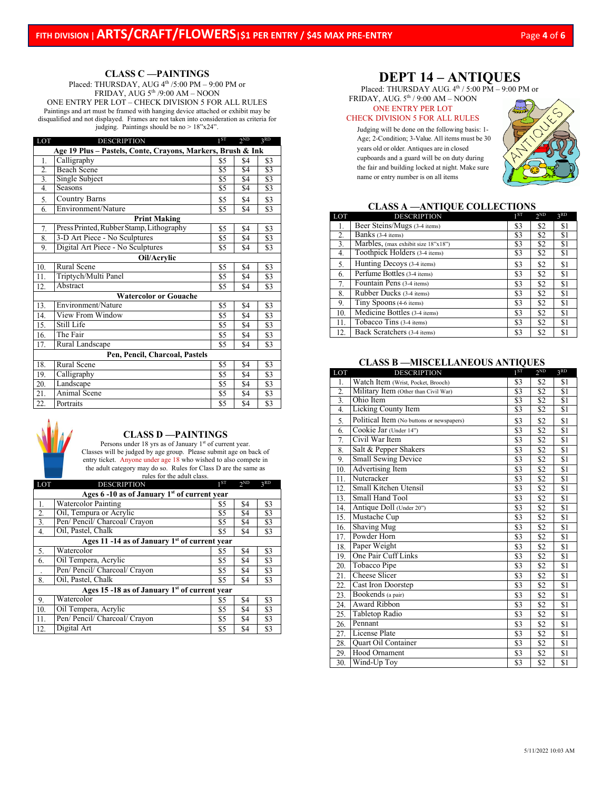## **CLASS C —PAINTINGS**

Placed: THURSDAY, AUG 4<sup>th</sup> /5:00 PM – 9:00 PM or FRIDAY,  $AUG 5<sup>th</sup> / 9:00 AM - NOON$ ONE ENTRY PER LOT – CHECK DIVISION 5 FOR ALL RULES Paintings and art must be framed with hanging device attached or exhibit may be disqualified and not displayed. Frames are not taken into consideration as criteria for judging. Paintings should be no > 18"x24".

| LOT                                                         | <b>DESCRIPTION</b>                       | 1 <sup>ST</sup>  | 2 <sub>ND</sub> | 3RD              |  |
|-------------------------------------------------------------|------------------------------------------|------------------|-----------------|------------------|--|
| Age 19 Plus – Pastels, Conte, Crayons, Markers, Brush & Ink |                                          |                  |                 |                  |  |
| 1.                                                          | Calligraphy                              | \$5              | \$4             | \$3              |  |
| $\overline{2}$                                              | <b>Beach Scene</b>                       | $\overline{\$5}$ | $\overline{S4}$ | \$3              |  |
| 3.                                                          | Single Subject                           | $\overline{\$5}$ | \$4             | \$3              |  |
| 4.                                                          | Seasons                                  | \$5              | \$4             | $\overline{\$3}$ |  |
| 5.                                                          | <b>Country Barns</b>                     | \$5              | \$4             | \$3              |  |
| 6.                                                          | Environment/Nature                       | \$5              | \$4             | \$3              |  |
|                                                             | <b>Print Making</b>                      |                  |                 |                  |  |
| 7.                                                          | Press Printed, Rubber Stamp, Lithography | \$5              | \$4             | \$3              |  |
| 8.                                                          | 3-D Art Piece - No Sculptures            | \$5              | \$4             | \$3              |  |
| 9.                                                          | Digital Art Piece - No Sculptures        | \$5              | \$4             | \$3              |  |
| Oil/Acrylic                                                 |                                          |                  |                 |                  |  |
| 10.                                                         | Rural Scene                              | \$5              | \$4             | \$3              |  |
| 11.                                                         | Triptych/Multi Panel                     | \$5              | \$4             | \$3              |  |
| 12.                                                         | Abstract                                 | \$5              | \$4             | \$3              |  |
|                                                             | <b>Watercolor or Gouache</b>             |                  |                 |                  |  |
| 13.                                                         | Environment/Nature                       | \$5              | \$4             | \$3              |  |
| 14.                                                         | View From Window                         | \$5              | \$4             | \$3              |  |
| 15.                                                         | Still Life                               | \$5              | \$4             | \$3              |  |
| 16.                                                         | The Fair                                 | \$5              | \$4             | \$3              |  |
| 17.                                                         | Rural Landscape                          | \$5              | \$4             | \$3              |  |
|                                                             | Pen, Pencil, Charcoal, Pastels           |                  |                 |                  |  |
| 18.                                                         | Rural Scene                              | \$5              | \$4             | \$3              |  |
| 19.                                                         | Calligraphy                              | \$5              | \$4             | \$3              |  |
| 20.                                                         | Landscape                                | \$5              | \$4             | \$3              |  |
| 21.                                                         | Animal Scene                             | \$5              | \$4             | \$3              |  |
| 22.                                                         | Portraits                                | \$5              | \$4             | \$3              |  |



## **CLASS D —PAINTINGS**

Persons under 18 yrs as of January 1st of current year. Classes will be judged by age group. Please submit age on back of entry ticket. Anyone under age 18 who wished to also compete in the adult category may do so. Rules for Class D are the same as rules for the adult class.

| LOT                                                      | <b>DESCRIPTION</b>            | 1ST | 2 <sub>ND</sub> | 3RD |  |  |
|----------------------------------------------------------|-------------------------------|-----|-----------------|-----|--|--|
| Ages 6 -10 as of January 1 <sup>st</sup> of current year |                               |     |                 |     |  |  |
| 1.                                                       | <b>Watercolor Painting</b>    | \$5 | \$4             | \$3 |  |  |
| 2.                                                       | Oil, Tempura or Acrylic       | \$5 | \$4             | \$3 |  |  |
| 3.                                                       | Pen/ Pencil/ Charcoal/ Crayon | \$5 | \$4             | \$3 |  |  |
| 4.                                                       | Oil, Pastel, Chalk            | \$5 | \$4             | \$3 |  |  |
| Ages 11 -14 as of January 1st of current year            |                               |     |                 |     |  |  |
| 5.                                                       | Watercolor                    | \$5 | \$4             | \$3 |  |  |
| 6.                                                       | Oil Tempera, Acrylic          | \$5 | \$4             | \$3 |  |  |
|                                                          | Pen/ Pencil/ Charcoal/ Crayon | \$5 | \$4             | \$3 |  |  |
| 8.                                                       | Oil, Pastel, Chalk            | \$5 | \$4             | \$3 |  |  |
| Ages 15 -18 as of January $1st$ of current year          |                               |     |                 |     |  |  |
| 9.                                                       | Watercolor                    | \$5 | \$4             | \$3 |  |  |
| 10.                                                      | Oil Tempera, Acrylic          | \$5 | \$4             | \$3 |  |  |
| 11.                                                      | Pen/ Pencil/ Charcoal/ Crayon | \$5 | \$4             | \$3 |  |  |
| 12.                                                      | Digital Art                   | \$5 | \$4             | \$3 |  |  |

## **DEPT 14 – ANTIQUES**

Placed: THURSDAY AUG.  $4<sup>th</sup> / 5:00 PM - 9:00 PM$  or

FRIDAY, AUG.  $5^{\text{th}}$  /  $9:00$  AM – NOON

#### ONE ENTRY PER LOT CHECK DIVISION 5 FOR ALL RULES

Judging will be done on the following basis: 1- Age; 2-Condition; 3-Value. All items must be 30 years old or older. Antiques are in closed cupboards and a guard will be on duty during the fair and building locked at night. Make sure name or entry number is on all items



## **CLASS A —ANTIQUE COLLECTIONS**

| LOT              | <b>DESCRIPTION</b>                           | 1 <sup>ST</sup> | $2^{ND}$ | 3 <sub>RD</sub> |
|------------------|----------------------------------------------|-----------------|----------|-----------------|
| 1.               | Beer Steins/Mugs (3-4 items)                 | \$3             | \$2      | \$1             |
| 2.               | Banks (3-4 items)                            | \$3             | \$2      | \$1             |
| $\overline{3}$ . | Marbles, (max exhibit size 18"x18")          | \$3             | \$2      | \$1             |
| 4.               | Toothpick Holders (3-4 items)                | \$3             | \$2      | \$1             |
| 5.               | Hunting Decoys (3-4 items)                   | \$3             | \$2      | \$1             |
| 6.               | Perfume Bottles (3-4 items)                  | \$3             | \$2      | \$1             |
| 7.               | Fountain Pens (3-4 items)                    | \$3             | \$2      | \$1             |
| 8.               | Rubber Ducks (3-4 items)                     | \$3             | \$2      | \$1             |
| 9.               | Tiny Spoons (4-6 items)                      | \$3             | \$2      | \$1             |
| 10.              | Medicine Bottles (3-4 items)                 | \$3             | \$2      | \$1             |
| 11.              | $\overline{\text{Tobacco Tins}}$ (3-4 items) | \$3             | \$2      | \$1             |
| 12.              | Back Scratchers (3-4 items)                  | \$3             | \$2      | \$1             |

## **CLASS B —MISCELLANEOUS ANTIQUES**

| Watch Item (Wrist, Pocket, Brooch)<br>\$2<br>\$3<br>\$1<br>1.<br>\$2<br>\$1<br>\$3<br>2.<br>Military Item (Other than Civil War)<br>$\overline{3}$ .<br>\$2<br>Ohio Item<br>\$3<br>\$1<br>Licking County Item<br>$\overline{S2}$<br>4.<br>\$3<br>\$1<br>Political Item (No buttons or newspapers)<br>\$2<br>5.<br>\$3<br>\$1<br>Cookie Jar (Under 14")<br>6.<br>\$2<br>\$1<br>\$3<br>Civil War Item<br>\$2<br>7.<br>\$3<br>\$1<br>Salt & Pepper Shakers<br>8.<br>\$2<br>\$3<br>\$1<br><b>Small Sewing Device</b><br>\$2<br>9.<br>\$3<br>\$1<br>Advertising Item<br>\$2<br>10.<br>\$1<br>\$3<br>Nutcracker<br>\$2<br>11.<br>\$1<br>\$3<br>Small Kitchen Utensil<br>$\overline{$}2$<br>\$1<br>12.<br>\$3<br>Small Hand Tool<br>\$2<br>13.<br>\$3<br>\$1<br>Antique Doll (Under 20")<br>\$2<br>\$1<br>14.<br>\$3<br>Mustache Cup<br>\$2<br>15.<br>\$1<br>\$3<br><b>Shaving Mug</b><br>\$2<br>\$1<br>16.<br>\$3<br>Powder Horn<br>\$2<br>17.<br>\$3<br>\$1<br>Paper Weight<br>\$2<br>18.<br>\$3<br>\$1<br>One Pair Cuff Links<br>\$2<br>$\overline{\$3}$<br>$\overline{S1}$<br>19.<br>Tobacco Pipe<br>\$2<br>\$1<br>20.<br>\$3<br>Cheese Slicer<br>\$2<br>21.<br>\$3<br>\$1<br>Cast Iron Doorstep<br>\$2<br>22.<br>\$3<br>\$1<br>Bookends (a pair)<br>\$2<br>23.<br>\$3<br>\$1<br>Award Ribbon<br>$\overline{32}$<br>\$3<br>\$1<br>24.<br>Tabletop Radio<br>25.<br>\$3<br>\$2<br>\$1<br>Pennant<br>\$2<br>\$1<br>26.<br>\$3<br><b>License Plate</b><br>$\overline{52}$<br>\$1<br>27.<br>\$3<br>Quart Oil Container<br>\$2<br>\$1<br>28.<br>\$3<br>\$2<br>Hood Ornament<br>\$3<br>\$1<br>29. | LOT              | <b>DESCRIPTION</b> | 1 <sup>ST</sup> | $2^{ND}$ | 3RD |
|-----------------------------------------------------------------------------------------------------------------------------------------------------------------------------------------------------------------------------------------------------------------------------------------------------------------------------------------------------------------------------------------------------------------------------------------------------------------------------------------------------------------------------------------------------------------------------------------------------------------------------------------------------------------------------------------------------------------------------------------------------------------------------------------------------------------------------------------------------------------------------------------------------------------------------------------------------------------------------------------------------------------------------------------------------------------------------------------------------------------------------------------------------------------------------------------------------------------------------------------------------------------------------------------------------------------------------------------------------------------------------------------------------------------------------------------------------------------------------------------------------------------------------------------------------------------------------------------|------------------|--------------------|-----------------|----------|-----|
|                                                                                                                                                                                                                                                                                                                                                                                                                                                                                                                                                                                                                                                                                                                                                                                                                                                                                                                                                                                                                                                                                                                                                                                                                                                                                                                                                                                                                                                                                                                                                                                         |                  |                    |                 |          |     |
|                                                                                                                                                                                                                                                                                                                                                                                                                                                                                                                                                                                                                                                                                                                                                                                                                                                                                                                                                                                                                                                                                                                                                                                                                                                                                                                                                                                                                                                                                                                                                                                         |                  |                    |                 |          |     |
|                                                                                                                                                                                                                                                                                                                                                                                                                                                                                                                                                                                                                                                                                                                                                                                                                                                                                                                                                                                                                                                                                                                                                                                                                                                                                                                                                                                                                                                                                                                                                                                         |                  |                    |                 |          |     |
|                                                                                                                                                                                                                                                                                                                                                                                                                                                                                                                                                                                                                                                                                                                                                                                                                                                                                                                                                                                                                                                                                                                                                                                                                                                                                                                                                                                                                                                                                                                                                                                         |                  |                    |                 |          |     |
|                                                                                                                                                                                                                                                                                                                                                                                                                                                                                                                                                                                                                                                                                                                                                                                                                                                                                                                                                                                                                                                                                                                                                                                                                                                                                                                                                                                                                                                                                                                                                                                         |                  |                    |                 |          |     |
|                                                                                                                                                                                                                                                                                                                                                                                                                                                                                                                                                                                                                                                                                                                                                                                                                                                                                                                                                                                                                                                                                                                                                                                                                                                                                                                                                                                                                                                                                                                                                                                         |                  |                    |                 |          |     |
|                                                                                                                                                                                                                                                                                                                                                                                                                                                                                                                                                                                                                                                                                                                                                                                                                                                                                                                                                                                                                                                                                                                                                                                                                                                                                                                                                                                                                                                                                                                                                                                         |                  |                    |                 |          |     |
|                                                                                                                                                                                                                                                                                                                                                                                                                                                                                                                                                                                                                                                                                                                                                                                                                                                                                                                                                                                                                                                                                                                                                                                                                                                                                                                                                                                                                                                                                                                                                                                         |                  |                    |                 |          |     |
|                                                                                                                                                                                                                                                                                                                                                                                                                                                                                                                                                                                                                                                                                                                                                                                                                                                                                                                                                                                                                                                                                                                                                                                                                                                                                                                                                                                                                                                                                                                                                                                         |                  |                    |                 |          |     |
|                                                                                                                                                                                                                                                                                                                                                                                                                                                                                                                                                                                                                                                                                                                                                                                                                                                                                                                                                                                                                                                                                                                                                                                                                                                                                                                                                                                                                                                                                                                                                                                         |                  |                    |                 |          |     |
|                                                                                                                                                                                                                                                                                                                                                                                                                                                                                                                                                                                                                                                                                                                                                                                                                                                                                                                                                                                                                                                                                                                                                                                                                                                                                                                                                                                                                                                                                                                                                                                         |                  |                    |                 |          |     |
|                                                                                                                                                                                                                                                                                                                                                                                                                                                                                                                                                                                                                                                                                                                                                                                                                                                                                                                                                                                                                                                                                                                                                                                                                                                                                                                                                                                                                                                                                                                                                                                         |                  |                    |                 |          |     |
|                                                                                                                                                                                                                                                                                                                                                                                                                                                                                                                                                                                                                                                                                                                                                                                                                                                                                                                                                                                                                                                                                                                                                                                                                                                                                                                                                                                                                                                                                                                                                                                         |                  |                    |                 |          |     |
|                                                                                                                                                                                                                                                                                                                                                                                                                                                                                                                                                                                                                                                                                                                                                                                                                                                                                                                                                                                                                                                                                                                                                                                                                                                                                                                                                                                                                                                                                                                                                                                         |                  |                    |                 |          |     |
|                                                                                                                                                                                                                                                                                                                                                                                                                                                                                                                                                                                                                                                                                                                                                                                                                                                                                                                                                                                                                                                                                                                                                                                                                                                                                                                                                                                                                                                                                                                                                                                         |                  |                    |                 |          |     |
|                                                                                                                                                                                                                                                                                                                                                                                                                                                                                                                                                                                                                                                                                                                                                                                                                                                                                                                                                                                                                                                                                                                                                                                                                                                                                                                                                                                                                                                                                                                                                                                         |                  |                    |                 |          |     |
|                                                                                                                                                                                                                                                                                                                                                                                                                                                                                                                                                                                                                                                                                                                                                                                                                                                                                                                                                                                                                                                                                                                                                                                                                                                                                                                                                                                                                                                                                                                                                                                         |                  |                    |                 |          |     |
|                                                                                                                                                                                                                                                                                                                                                                                                                                                                                                                                                                                                                                                                                                                                                                                                                                                                                                                                                                                                                                                                                                                                                                                                                                                                                                                                                                                                                                                                                                                                                                                         |                  |                    |                 |          |     |
|                                                                                                                                                                                                                                                                                                                                                                                                                                                                                                                                                                                                                                                                                                                                                                                                                                                                                                                                                                                                                                                                                                                                                                                                                                                                                                                                                                                                                                                                                                                                                                                         |                  |                    |                 |          |     |
|                                                                                                                                                                                                                                                                                                                                                                                                                                                                                                                                                                                                                                                                                                                                                                                                                                                                                                                                                                                                                                                                                                                                                                                                                                                                                                                                                                                                                                                                                                                                                                                         |                  |                    |                 |          |     |
|                                                                                                                                                                                                                                                                                                                                                                                                                                                                                                                                                                                                                                                                                                                                                                                                                                                                                                                                                                                                                                                                                                                                                                                                                                                                                                                                                                                                                                                                                                                                                                                         |                  |                    |                 |          |     |
|                                                                                                                                                                                                                                                                                                                                                                                                                                                                                                                                                                                                                                                                                                                                                                                                                                                                                                                                                                                                                                                                                                                                                                                                                                                                                                                                                                                                                                                                                                                                                                                         |                  |                    |                 |          |     |
|                                                                                                                                                                                                                                                                                                                                                                                                                                                                                                                                                                                                                                                                                                                                                                                                                                                                                                                                                                                                                                                                                                                                                                                                                                                                                                                                                                                                                                                                                                                                                                                         |                  |                    |                 |          |     |
|                                                                                                                                                                                                                                                                                                                                                                                                                                                                                                                                                                                                                                                                                                                                                                                                                                                                                                                                                                                                                                                                                                                                                                                                                                                                                                                                                                                                                                                                                                                                                                                         |                  |                    |                 |          |     |
|                                                                                                                                                                                                                                                                                                                                                                                                                                                                                                                                                                                                                                                                                                                                                                                                                                                                                                                                                                                                                                                                                                                                                                                                                                                                                                                                                                                                                                                                                                                                                                                         |                  |                    |                 |          |     |
|                                                                                                                                                                                                                                                                                                                                                                                                                                                                                                                                                                                                                                                                                                                                                                                                                                                                                                                                                                                                                                                                                                                                                                                                                                                                                                                                                                                                                                                                                                                                                                                         |                  |                    |                 |          |     |
|                                                                                                                                                                                                                                                                                                                                                                                                                                                                                                                                                                                                                                                                                                                                                                                                                                                                                                                                                                                                                                                                                                                                                                                                                                                                                                                                                                                                                                                                                                                                                                                         |                  |                    |                 |          |     |
|                                                                                                                                                                                                                                                                                                                                                                                                                                                                                                                                                                                                                                                                                                                                                                                                                                                                                                                                                                                                                                                                                                                                                                                                                                                                                                                                                                                                                                                                                                                                                                                         |                  |                    |                 |          |     |
|                                                                                                                                                                                                                                                                                                                                                                                                                                                                                                                                                                                                                                                                                                                                                                                                                                                                                                                                                                                                                                                                                                                                                                                                                                                                                                                                                                                                                                                                                                                                                                                         |                  |                    |                 |          |     |
|                                                                                                                                                                                                                                                                                                                                                                                                                                                                                                                                                                                                                                                                                                                                                                                                                                                                                                                                                                                                                                                                                                                                                                                                                                                                                                                                                                                                                                                                                                                                                                                         | $\overline{3}0.$ | Wind-Up Toy        | \$3             | \$2      | \$1 |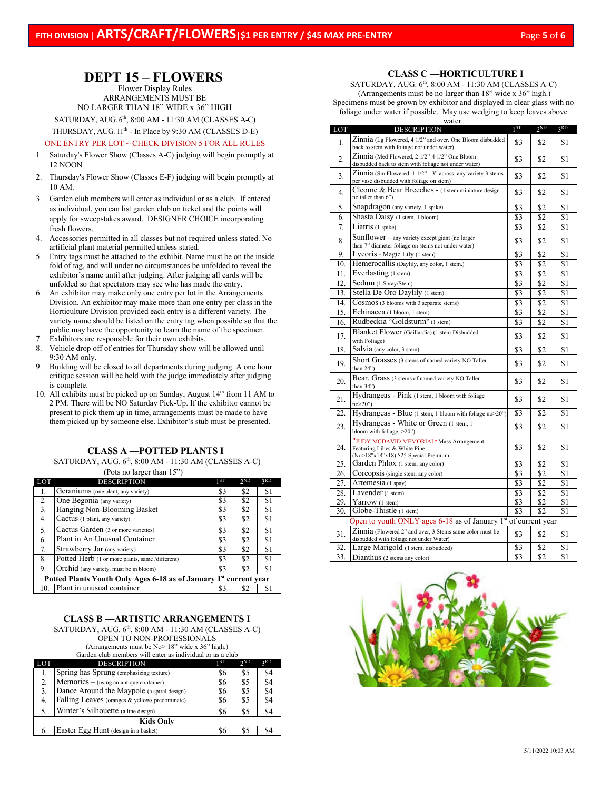# **DEPT 15 – FLOWERS**

Flower Display Rules ARRANGEMENTS MUST BE NO LARGER THAN 18" WIDE x 36" HIGH SATURDAY, AUG. 6th, 8:00 AM - 11:30 AM (CLASSES A-C) THURSDAY, AUG. 11<sup>th</sup> - In Place by 9:30 AM (CLASSES D-E)

#### ONE ENTRY PER LOT ~ CHECK DIVISION 5 FOR ALL RULES

- 1. Saturday's Flower Show (Classes A-C) judging will begin promptly at 12 NOON
- 2. Thursday's Flower Show (Classes E-F) judging will begin promptly at 10 AM.
- 3. Garden club members will enter as individual or as a club. If entered as individual, you can list garden club on ticket and the points will apply for sweepstakes award. DESIGNER CHOICE incorporating fresh flowers.
- 4. Accessories permitted in all classes but not required unless stated. No artificial plant material permitted unless stated.
- 5. Entry tags must be attached to the exhibit. Name must be on the inside fold of tag, and will under no circumstances be unfolded to reveal the exhibitor's name until after judging. After judging all cards will be unfolded so that spectators may see who has made the entry.
- 6. An exhibitor may make only one entry per lot in the Arrangements Division. An exhibitor may make more than one entry per class in the Horticulture Division provided each entry is a different variety. The variety name should be listed on the entry tag when possible so that the public may have the opportunity to learn the name of the specimen.
- 7. Exhibitors are responsible for their own exhibits.
- 8. Vehicle drop off of entries for Thursday show will be allowed until 9:30 AM only.
- 9. Building will be closed to all departments during judging. A one hour critique session will be held with the judge immediately after judging is complete.
- 10. All exhibits must be picked up on Sunday, August 14<sup>th</sup> from 11 AM to 2 PM. There will be NO Saturday Pick-Up. If the exhibitor cannot be present to pick them up in time, arrangements must be made to have them picked up by someone else. Exhibitor's stub must be presented.

## **CLASS A —POTTED PLANTS I**

SATURDAY, AUG. 6th, 8:00 AM - 11:30 AM (CLASSES A-C)

(Pots no larger than  $15"$ )

| LOT                                                                           | <b>DESCRIPTION</b>                              | 1 <sup>ST</sup> | 2 <sub>ND</sub> | 3RD            |  |
|-------------------------------------------------------------------------------|-------------------------------------------------|-----------------|-----------------|----------------|--|
| 1.                                                                            | Geraniums (one plant, any variety)              | \$3             | \$2             | \$1            |  |
| 2.                                                                            | One Begonia (any variety)                       | \$3             | \$2             | \$1            |  |
| 3.                                                                            | Hanging Non-Blooming Basket                     | \$3             | \$2             | \$1            |  |
| 4.                                                                            | Cactus (1 plant, any variety)                   | \$3             | \$2             | \$1            |  |
| 5.                                                                            | Cactus Garden (3 or more varieties)             | \$3             | \$2             | \$1            |  |
| 6.                                                                            | Plant in An Unusual Container                   | \$3             | \$2             | \$1            |  |
| 7.                                                                            | Strawberry Jar (any variety)                    | \$3             | \$2             | \$1            |  |
| 8.                                                                            | Potted Herb (1 or more plants, same /different) | \$3             | \$2             | \$1            |  |
| 9.                                                                            | Orchid (any variety, must be in bloom)          | \$3             | \$2             | \$1            |  |
| Potted Plants Youth Only Ages 6-18 as of January 1 <sup>st</sup> current year |                                                 |                 |                 |                |  |
| 10.                                                                           | Plant in unusual container                      | \$3             | \$2             | <sup>\$1</sup> |  |

## **CLASS B —ARTISTIC ARRANGEMENTS I**

SATURDAY, AUG. 6th, 8:00 AM - 11:30 AM (CLASSES A-C) OPEN TO NON-PROFESSIONALS

(Arrangements must be No> 18" wide x 36" high.)

Garden club members will enter as individual or as a club

| <b>LOT</b>       | <b>DESCRIPTION</b>                             | 1 ST | 2 <sub>ND</sub> | 3RD |  |
|------------------|------------------------------------------------|------|-----------------|-----|--|
|                  | Spring has Sprung (emphasizing texture)        | \$6  | \$5             | \$4 |  |
| 2.               | Memories - (using an antique container)        | \$6  | \$5             | \$4 |  |
| 3.               | Dance Around the Maypole (a spiral design)     | \$6  | \$5             | \$4 |  |
| 4.               | Falling Leaves (oranges & yellows predominate) | \$6  | \$5             | \$4 |  |
| 5.               | Winter's Silhouette (a line design)            | \$6  | \$5             | \$4 |  |
| <b>Kids Only</b> |                                                |      |                 |     |  |
| 6.               | Easter Egg Hunt (design in a basket)           | 86   | \$5             | \$4 |  |

## **CLASS C —HORTICULTURE I**

SATURDAY, AUG. 6<sup>th</sup>, 8:00 AM - 11:30 AM (CLASSES A-C) (Arrangements must be no larger than 18" wide x 36" high.) Specimens must be grown by exhibitor and displayed in clear glass with no foliage under water if possible. May use wedging to keep leaves above water.

| LOT               | <b>DESCRIPTION</b>                                                                                                | 1 <sup>ST</sup> | $2^{ND}$ | 3RD |  |
|-------------------|-------------------------------------------------------------------------------------------------------------------|-----------------|----------|-----|--|
| 1.                | Zinnia (Lg Flowered, 4 1/2" and over. One Bloom disbudded<br>back to stem with foliage not under water)           | \$3             | \$2      | \$1 |  |
| $\mathfrak{D}$    | Zinnia (Med Flowered, 2 1/2"-4 1/2" One Bloom<br>disbudded back to stem with foliage not under water)             | \$3             | \$2      | \$1 |  |
| 3.                | Zinnia (Sm Flowered, 1 1/2" - 3" across, any variety 3 stems<br>per vase disbudded with foliage on stem)          | \$3             | \$2      | \$1 |  |
| $\overline{4}$    | Cleome & Bear Breeches - (1 stem miniature design<br>no taller than 6")                                           | \$3             | \$2      | \$1 |  |
| 5.                | Snapdragon (any variety, 1 spike)                                                                                 | \$3             | \$2      | \$1 |  |
| 6.                | Shasta Daisy (1 stem, 1 bloom)                                                                                    | \$3             | \$2      | \$1 |  |
| 7.                | Liatris (1 spike)                                                                                                 | \$3             | \$2      | \$1 |  |
| 8.                | Sunflower - any variety except giant (no larger<br>than 7" diameter foliage on stems not under water)             | \$3             | \$2      | \$1 |  |
| 9.                | Lycoris - Magic Lily (1 stem)                                                                                     | \$3             | \$2      | \$1 |  |
| 10.               | Hemerocallis (Daylily, any color, 1 stem.)                                                                        | \$3             | \$2      | \$1 |  |
| 11.               | Everlasting (1 stem)                                                                                              | \$3             | \$2      | \$1 |  |
| 12.               | Sedum (1 Spray/Stem)                                                                                              | \$3             | \$2      | \$1 |  |
| $\overline{13}$ . | Stella De Oro Daylily (1 stem)                                                                                    | \$3             | \$2      | \$1 |  |
| 14.               | Cosmos (3 blooms with 3 separate stems)                                                                           | \$3             | \$2      | \$1 |  |
| 15.               | Echinacea (1 bloom, 1 stem)                                                                                       | \$3             | \$2      | \$1 |  |
| 16.               | Rudbeckia "Goldsturm" (1 stem)                                                                                    | \$3             | \$2      | \$1 |  |
| 17.               | Blanket Flower (Gaillardia) (1 stem Disbudded<br>with Foliage)                                                    | \$3             | \$2      | \$1 |  |
| 18.               | Salvia (any color, 3 stem)                                                                                        | \$3             | \$2      | \$1 |  |
| 19.               | Short Grasses (3 stems of named variety NO Taller<br>than 24")                                                    | \$3             | \$2      | \$1 |  |
| 20.               | Bear. Grass (3 stems of named variety NO Taller<br>than 34")                                                      | \$3             | \$2      | \$1 |  |
| 21.               | Hydrangeas - Pink (1 stem, 1 bloom with foliage<br>$no > 20$ ")                                                   | \$3             | \$2      | \$1 |  |
| 22.               | Hydrangeas - Blue (1 stem, 1 bloom with foliage no>20")                                                           | \$3             | \$2      | \$1 |  |
| 23.               | Hydrangeas - White or Green (1 stem, 1)<br>bloom with foliage. >20")                                              | \$3             | \$2      | \$1 |  |
| 24.               | "JUDY MCDAVID MEMORIAL" Mass Arrangement<br>Featuring Lilies & White Pine<br>(No>18"x18"x18) \$25 Special Premium | \$3             | \$2      | \$1 |  |
| 25.               | Garden Phlox (1 stem, any color)                                                                                  | \$3             | \$2      | \$1 |  |
| 26.               | Coreopsis (single stem, any color)                                                                                | \$3             | \$2      | \$1 |  |
| 27.               | Artemesia (1 spay)                                                                                                | \$3             | \$2      | \$1 |  |
| 28.               | Lavender (1 stem)                                                                                                 | \$3             | \$2      | \$1 |  |
| 29.               | Yarrow (1 stem)                                                                                                   | \$3             | \$2      | \$1 |  |
| 30.               | Globe-Thistle (1 stem)                                                                                            | \$3             | \$2      | \$1 |  |
|                   | Open to youth ONLY ages $6-18$ as of January 1 <sup>st</sup> of current year                                      |                 |          |     |  |
| 31.               | Zinnia (Flowered 2" and over, 3 Stems same color must be<br>disbudded with foliage not under Water)               | \$3             | \$2      | \$1 |  |
| 32.               | Large Marigold (1 stem, disbudded)                                                                                | \$3             | \$2      | \$1 |  |
| 33.               | Dianthus (2 stems any color)                                                                                      | \$3             | \$2      | \$1 |  |

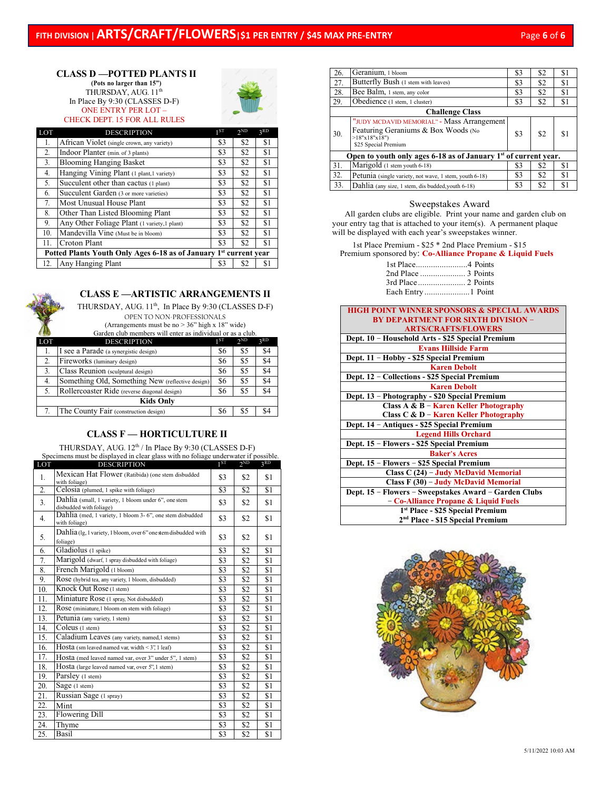## **CLASS D —POTTED PLANTS II**

**(Pots no larger than 15")** THURSDAY, AUG. 11<sup>th</sup> In Place By 9:30 (CLASSES D-F) ONE ENTRY PER LOT – CHECK DEPT. 15 FOR ALL RULES



| LOT                                                                           | <b>DESCRIPTION</b>                           | 1 <sub>ST</sub> | 2ND | 3RD |  |
|-------------------------------------------------------------------------------|----------------------------------------------|-----------------|-----|-----|--|
| 1.                                                                            | African Violet (single crown, any variety)   | \$3             | \$2 | \$1 |  |
| 2.                                                                            | Indoor Planter (min. of 3 plants)            | \$3             | \$2 | \$1 |  |
| 3.                                                                            | <b>Blooming Hanging Basket</b>               | \$3             | \$2 | \$1 |  |
| 4.                                                                            | Hanging Vining Plant (1 plant, 1 variety)    | \$3             | \$2 | \$1 |  |
| 5.                                                                            | Succulent other than cactus (1 plant)        | \$3             | \$2 | \$1 |  |
| 6.                                                                            | Succulent Garden (3 or more varieties)       | \$3             | \$2 | \$1 |  |
| 7.                                                                            | Most Unusual House Plant                     | \$3             | \$2 | \$1 |  |
| 8.                                                                            | Other Than Listed Blooming Plant             | \$3             | \$2 | \$1 |  |
| 9.                                                                            | Any Other Foliage Plant (1 variety, 1 plant) | \$3             | \$2 | \$1 |  |
| 10.                                                                           | Mandevilla Vine (Must be in bloom)           | \$3             | \$2 | \$1 |  |
| 11.                                                                           | Croton Plant                                 | \$3             | \$2 | \$1 |  |
| Potted Plants Youth Only Ages 6-18 as of January 1 <sup>st</sup> current year |                                              |                 |     |     |  |
| 12.                                                                           | Any Hanging Plant                            | \$3             | \$2 | S.  |  |

## **CLASS E —ARTISTIC ARRANGEMENTS II**

THURSDAY, AUG. 11<sup>th</sup>, In Place By 9:30 (CLASSES D-F) OPEN TO NON-PROFESSIONALS

(Arrangements must be no > 36" high x 18" wide) Garden club members will enter as individual or as a club.

|                  | маниентения преписыв усигениет двугили спидентал детапл. |     |                 |     |  |  |
|------------------|----------------------------------------------------------|-----|-----------------|-----|--|--|
| <b>LOT</b>       | <b>DESCRIPTION</b>                                       | 1ST | 2 <sub>ND</sub> | 2RD |  |  |
| 1.               | I see a Parade (a synergistic design)                    | \$6 | \$5             | \$4 |  |  |
| 2.               | Fireworks (luminary design)                              | S6  | \$5             | \$4 |  |  |
|                  | Class Reunion (sculptural design)                        | \$6 | \$5             | \$4 |  |  |
| 4.               | Something Old, Something New (reflective design)         | \$6 | \$5             | \$4 |  |  |
| 5.               | Rollercoaster Ride (reverse diagonal design)             | \$6 | \$5             | \$4 |  |  |
| <b>Kids Only</b> |                                                          |     |                 |     |  |  |
|                  | The County Fair (construction design)                    | 86  | \$5             |     |  |  |

## **CLASS F — HORTICULTURE II**

THURSDAY, AUG. 12<sup>th</sup> / In Place By 9:30 (CLASSES D-F)

| Specimens must be displayed in clear glass with no foliage underwater if possible. |                                                                                 |                 |     |     |  |
|------------------------------------------------------------------------------------|---------------------------------------------------------------------------------|-----------------|-----|-----|--|
| LOT                                                                                | <b>DESCRIPTION</b>                                                              | 1 <sub>ST</sub> | 2ND | 3RD |  |
| 1.                                                                                 | Mexican Hat Flower (Ratibida) (one stem disbudded<br>with foliage)              | \$3             | \$2 | \$1 |  |
| 2.                                                                                 | Celosia (plumed, 1 spike with foliage)                                          | \$3             | \$2 | \$1 |  |
| 3.                                                                                 | Dahlia (small, 1 variety, 1 bloom under 6", one stem<br>disbudded with foliage) | \$3             | \$2 | \$1 |  |
| 4.                                                                                 | Dahlia (med, 1 variety, 1 bloom 3- 6", one stem disbudded<br>with foliage)      | \$3             | \$2 | \$1 |  |
| 5.                                                                                 | Dahlia (lg, 1 variety, 1 bloom, over 6" one stem disbudded with<br>foliage)     | \$3             | \$2 | \$1 |  |
| 6.                                                                                 | Gladiolus (1 spike)                                                             | \$3             | \$2 | \$1 |  |
| 7.                                                                                 | Marigold (dwarf, 1 spray disbudded with foliage)                                | \$3             | \$2 | \$1 |  |
| 8.                                                                                 | French Marigold (1 bloom)                                                       | \$3             | \$2 | \$1 |  |
| 9.                                                                                 | Rose (hybrid tea, any variety, 1 bloom, disbudded)                              | \$3             | \$2 | \$1 |  |
| 10.                                                                                | Knock Out Rose (1 stem)                                                         | \$3             | \$2 | \$1 |  |
| 11.                                                                                | Miniature Rose (1 spray, Not disbudded)                                         | \$3             | \$2 | \$1 |  |
| 12.                                                                                | Rose (miniature,1 bloom on stem with foliage)                                   | \$3             | \$2 | \$1 |  |
| 13.                                                                                | Petunia (any variety, 1 stem)                                                   | \$3             | \$2 | \$1 |  |
| 14.                                                                                | Coleus (1 stem)                                                                 | \$3             | \$2 | \$1 |  |
| 15.                                                                                | Caladium Leaves (any variety, named, 1 stems)                                   | \$3             | \$2 | \$1 |  |
| 16.                                                                                | Hosta (sm leaved named var, width $\leq$ 3", 1 leaf)                            | \$3             | \$2 | \$1 |  |
| 17.                                                                                | Hosta (med leaved named var, over 3" under 5", 1 stem)                          | \$3             | \$2 | \$1 |  |
| 18.                                                                                | Hosta (large leaved named var, over 5", 1 stem)                                 | \$3             | \$2 | \$1 |  |
| 19.                                                                                | Parsley (1 stem)                                                                | \$3             | \$2 | \$1 |  |
| 20.                                                                                | Sage (1 stem)                                                                   | \$3             | \$2 | \$1 |  |
| 21.                                                                                | Russian Sage (1 spray)                                                          | \$3             | \$2 | \$1 |  |
| 22.                                                                                | Mint                                                                            | \$3             | \$2 | \$1 |  |
| 23.                                                                                | Flowering Dill                                                                  | \$3             | \$2 | \$1 |  |
| 24.                                                                                | Thyme                                                                           | \$3             | \$2 | \$1 |  |
| 25.                                                                                | Basil                                                                           | \$3             | \$2 | \$1 |  |

| 26.                                                                         | Geranium, 1 bloom                                                                                                         | \$3 | \$2 | \$1 |  |
|-----------------------------------------------------------------------------|---------------------------------------------------------------------------------------------------------------------------|-----|-----|-----|--|
| 27.                                                                         | Butterfly Bush (1 stem with leaves)                                                                                       | \$3 | \$2 | \$1 |  |
| 28.                                                                         | Bee Balm, 1 stem, any color                                                                                               | \$3 | \$2 | \$1 |  |
| 29.                                                                         | Obedience (1 stem, 1 cluster)                                                                                             | \$3 | \$2 | \$1 |  |
| <b>Challenge Class</b>                                                      |                                                                                                                           |     |     |     |  |
| 30.                                                                         | "JUDY MCDAVID MEMORIAL" - Mass Arrangement<br>Featuring Geraniums & Box Woods (No<br>>18"x18"x18"<br>\$25 Special Premium | \$3 | \$2 | \$1 |  |
| Open to youth only ages 6-18 as of January 1 <sup>st</sup> of current year. |                                                                                                                           |     |     |     |  |
| 31.                                                                         | Marigold (1 stem youth 6-18)                                                                                              | S3  | \$2 | \$1 |  |
| 32.                                                                         | Petunia (single variety, not wave, 1 stem, youth 6-18)                                                                    | \$3 | \$2 | \$1 |  |
| 33.                                                                         | Dahlia (any size, 1 stem, dis budded, youth 6-18)                                                                         | \$3 | \$2 | \$1 |  |

#### Sweepstakes Award

 All garden clubs are eligible. Print your name and garden club on your entry tag that is attached to your item(s). A permanent plaque will be displayed with each year's sweepstakes winner.

1st Place Premium - \$25 \* 2nd Place Premium - \$15 Premium sponsored by: **Co-Alliance Propane & Liquid Fuels**

| 1st Place 4 Points  |  |
|---------------------|--|
|                     |  |
| 3rd Place 2. Points |  |
|                     |  |

| <b>HIGH POINT WINNER SPONSORS &amp; SPECIAL AWARDS</b> |
|--------------------------------------------------------|
| <b>BY DEPARTMENT FOR SIXTH DIVISION -</b>              |
| <b>ARTS/CRAFTS/FLOWERS</b>                             |
| Dept. 10 - Household Arts - \$25 Special Premium       |
| <b>Evans Hillside Farm</b>                             |
| Dept. 11 - Hobby - \$25 Special Premium                |
| <b>Karen Debolt</b>                                    |
| Dept. 12 - Collections - \$25 Special Premium          |
| <b>Karen Debolt</b>                                    |
| Dept. 13 - Photography - \$20 Special Premium          |
| Class A & B - Karen Keller Photography                 |
| Class C & D - Karen Keller Photography                 |
| Dept. 14 - Antiques - \$25 Special Premium             |
| <b>Legend Hills Orchard</b>                            |
| Dept. 15 - Flowers - \$25 Special Premium              |
| <b>Baker's Acres</b>                                   |
| Dept. 15 - Flowers - \$25 Special Premium              |
| Class C (24) - Judy McDavid Memorial                   |
| Class F (30) - Judy McDavid Memorial                   |
| Dept. 15 - Flowers - Sweepstakes Award - Garden Clubs  |
| - Co-Alliance Propane & Liquid Fuels                   |
| 1 <sup>st</sup> Place - \$25 Special Premium           |
| 2 <sup>nd</sup> Place - \$15 Special Premium           |

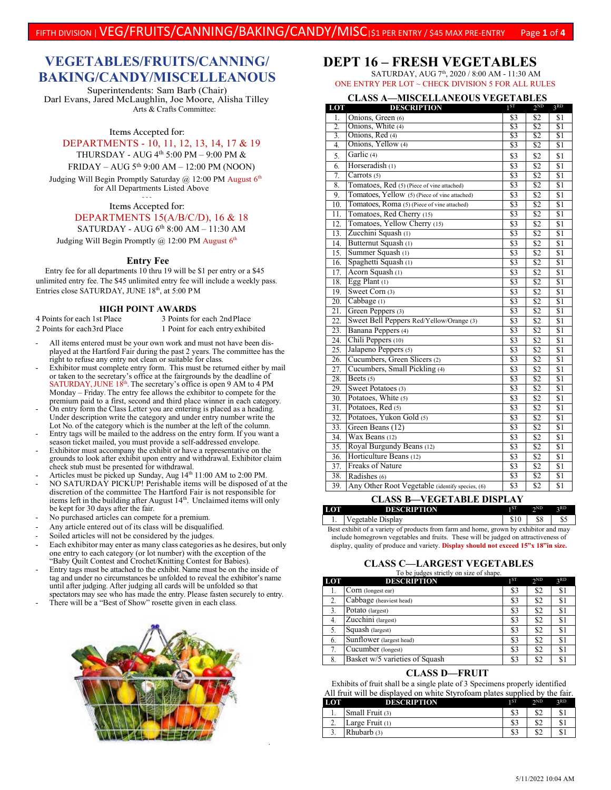# **VEGETABLES/FRUITS/CANNING/ BAKING/CANDY/MISCELLEANOUS**

Superintendents: Sam Barb (Chair) Darl Evans, Jared McLaughlin, Joe Moore, Alisha Tilley Arts & Crafts Committee:

**Items Accepted for:**

DEPARTMENTS - 10, 11, 12, 13, 14, 17 & 19

THURSDAY - AUG 4th 5:00 PM – 9:00 PM &

FRIDAY – AUG 5th 9:00 AM – 12:00 PM (NOON)

Judging Will Begin Promptly Saturday  $\omega$  12:00 PM August 6<sup>th</sup> for All Departments Listed Above

> **~ ~ ~ Items Accepted for:**

#### DEPARTMENTS 15(A/B/C/D), 16 & 18

SATURDAY - AUG 6th 8:00 AM - 11:30 AM

Judging Will Begin Promptly  $\omega$  12:00 PM August 6<sup>th</sup>

#### **Entry Fee**

Entry fee for all departments 10 thru 19 will be \$1 per entry or a \$45 unlimited entry fee. The \$45 unlimited entry fee will include a weekly pass. Entries close SATURDAY, JUNE 18th, at 5:00 PM

# **HIGH POINT AWARDS**<br>4 Points for each 1st Place 3 Points for

3 Points for each 2nd Place 2 Points for each 3rd Place 1 Point for each entry exhibited

- All items entered must be your own work and must not have been displayed at the Hartford Fair during the past 2 years. The committee has the right to refuse any entry not clean or suitable for class.
- Exhibitor must complete entry form. This must be returned either by mail or taken to the secretary's office at the fairgrounds by the deadline of SATURDAY, JUNE 18<sup>th</sup>. The secretary's office is open 9 AM to 4 PM Monday – Friday. The entry fee allows the exhibitor to compete for the premium paid to a first, second and third place winner in each category.
- On entry form the Class Letter you are entering is placed as a heading. Under description write the category and under entry number write the Lot No. of the category which is the number at the left of the column.
- Entry tags will be mailed to the address on the entry form. If you want a season ticket mailed, you must provide a self-addressed envelope.
- Exhibitor must accompany the exhibit or have a representative on the grounds to look after exhibit upon entry and withdrawal. Exhibitor claim check stub must be presented for withdrawal.
- Articles must be picked up Sunday, Aug 14<sup>th</sup> 11:00 AM to 2:00 PM. - NO SATURDAY PICKUP! Perishable items will be disposed of at the discretion of the committee The Hartford Fair is not responsible for items left in the building after August 14<sup>th</sup>. Unclaimed items will only be kept for 30 days after the fair.
- No purchased articles can compete for a premium.
- Any article entered out of its class will be disqualified.
- Soiled articles will not be considered by the judges.
- Each exhibitor may enter as many class categories as he desires, but only one entry to each category (or lot number) with the exception of the "Baby Quilt Contest and Crochet/Knitting Contest for Babies).
- Entry tags must be attached to the exhibit. Name must be on the inside of tag and under no circumstances be unfolded to reveal the exhibitor's name until after judging. After judging all cards will be unfolded so that spectators may see who has made the entry. Please fasten securely to entry.
- There will be a "Best of Show" rosette given in each class.



.

## **DEPT 16 – FRESH VEGETABLES**

SATURDAY, AUG 7th, 2020 / 8:00 AM - 11:30 AM ONE ENTRY PER LOT ~ CHECK DIVISION 5 FOR ALL RULES

#### **CLASS A—MISCELLANEOUS VEGETABLES**

| LOT               | <b>DESCRIPTION</b>                              | $1^{ST}$         | $2^{ND}$        | 3 <sup>RD</sup>  |
|-------------------|-------------------------------------------------|------------------|-----------------|------------------|
| 1.                | Onions, Green (6)                               | \$3              | \$2             | \$1              |
| 2.                | Onions, White (4)                               | \$3              | \$2             | \$Ī              |
| 3.                | Onions, Red (4)                                 | \$3              | \$2             | $\overline{\$1}$ |
| 4.                | Onions, Yellow (4)                              | \$3              | \$2             | \$1              |
| 5.                | Garlic (4)                                      | \$3              | \$2             | \$1              |
| 6.                | Horseradish (1)                                 | $\overline{\$3}$ | $\overline{S2}$ | $\overline{S1}$  |
| 7.                | Carrots (5)                                     | $\overline{\$3}$ | $\overline{S2}$ | $\overline{S1}$  |
| 8.                | Tomatoes, Red (5) (Piece of vine attached)      | $\overline{\$3}$ | $\overline{S2}$ | $\overline{S1}$  |
| 9.                | Tomatoes, Yellow (5) (Piece of vine attached)   | \$3              | \$2             | \$1              |
| 10.               | Tomatoes, Roma (5) (Piece of vine attached)     | \$3              | \$2             | \$1              |
| 11.               | Tomatoes, Red Cherry (15)                       | \$3              | \$2             | \$1              |
| $\overline{12}$ . | Tomatoes, Yellow Cherry (15)                    | $\overline{\$3}$ | \$2             | \$1              |
| 13.               | Zucchini Squash (1)                             | $\overline{\$3}$ | \$2             | $\overline{\$1}$ |
| 14.               | Butternut Squash (1)                            | \$3              | \$2             | \$1              |
| 15.               | Summer Squash (1)                               | \$3              | \$2             | \$1              |
| 16.               | Spaghetti Squash (1)                            | $\overline{\$3}$ | $\overline{S2}$ | $\overline{s}$ 1 |
| 17.               | Acorn Squash (1)                                | \$3              | \$2             | $\overline{s}$ 1 |
| 18.               | Egg Plant (1)                                   | \$3              | \$2             | \$1              |
| 19.               | Sweet Corn (3)                                  | \$3              | \$2             | \$1              |
| 20.               | Cabbage (1)                                     | $\overline{\$3}$ | $\overline{S2}$ | $\overline{s}$ 1 |
| $\overline{21}$ . | Green Peppers <sup>(3)</sup>                    | $\overline{\$3}$ | $\overline{32}$ | \$1              |
| 22.               | Sweet Bell Peppers Red/Yellow/Orange (3)        | \$3              | \$2             | $\overline{S1}$  |
| 23.               | Banana Peppers (4)                              | \$3              | \$2             | \$1              |
| 24.               | Chili Peppers (10)                              | $\overline{\$3}$ | $\overline{S2}$ | $\overline{S1}$  |
| 25.               | Jalapeno Peppers (5)                            | $\overline{\$3}$ | $\overline{S2}$ | $\overline{s}$ 1 |
| 26.               | Cucumbers, Green Slicers (2)                    | \$3              | \$2             | \$1              |
| 27.               | Cucumbers, Small Pickling (4)                   | \$3              | \$2             | \$1              |
| 28.               | Beets $(5)$                                     | $\overline{\$3}$ | $\overline{32}$ | $\overline{S1}$  |
| 29.               | Sweet Potatoes (3)                              | $\overline{\$3}$ | \$2             | $\overline{s}$ 1 |
| 30.               | Potatoes, White (5)                             | $\overline{\$3}$ | \$2             | $\overline{s}$ 1 |
| $\overline{31}$ . | Potatoes, Red (5)                               | \$3              | \$2             | \$1              |
| 32.               | Potatoes, Yukon Gold (5)                        | \$3              | \$2             | \$1              |
| 33.               | Green Beans (12)                                | $\overline{\$3}$ | $\overline{32}$ | $\overline{\$1}$ |
| 34.               | Wax Beans (12)                                  | $\overline{\$3}$ | $\overline{S2}$ | $\overline{S1}$  |
| 35.               | Royal Burgundy Beans (12)                       | \$3              | \$2             | \$1              |
| 36.               | Horticulture Beans (12)                         | \$3              | \$2             | \$1              |
| 37.               | <b>Freaks of Nature</b>                         | $\overline{\$3}$ | \$2             | $\overline{\$1}$ |
| 38.               | Radishes (6)                                    | $\overline{\$3}$ | \$2             | $\overline{\$1}$ |
| 39.               | Any Other Root Vegetable (identify species, (6) | \$3              | $\overline{S2}$ | \$1              |

#### **CLASS B—VEGETABLE DISPLAY**

**LOT DESCRIPTION**  $1^{ST}$   $2^{ND}$   $3^{RD}$ 1. Vegetable Display 810 \$8 \$5 Best exhibit of a variety of products from farm and home, grown by exhibitor and may include homegrown vegetables and fruits. These will be judged on attractiveness of display, quality of produce and variety. **Display should not exceed 15"x 18"in size.**

## **CLASS C—LARGEST VEGETABLES** To be judges strictly on size of shape.

| LOT | <b>DESCRIPTION</b>             | 1ST | 2 <sub>ND</sub> | 2RD |
|-----|--------------------------------|-----|-----------------|-----|
|     | Corn (longest ear)             | \$3 | \$2             | \$1 |
| 2.  | Cabbage (heaviest head)        | \$3 | \$2             | \$1 |
| 3.  | Potato (largest)               | \$3 | \$2             | \$1 |
| 4.  | Zucchini (largest)             | \$3 | \$2             | \$1 |
| 5.  | Squash (largest)               | \$3 | \$2             | \$1 |
| 6.  | Sunflower (largest head)       | \$3 | \$2             | \$1 |
| 7.  | Cucumber (longest)             | \$3 | \$2             | \$1 |
| 8.  | Basket w/5 varieties of Squash | \$3 | \$2             | S   |

#### **CLASS D—FRUIT**

Exhibits of fruit shall be a single plate of 3 Specimens properly identified All fruit will be displayed on white Styrofoam plates supplied by the fair.

| LOT      | <b>DESCRIPTION</b>       | 1 ST | $\gamma$ <sub>ND</sub> | $\mathcal{R}$ D |
|----------|--------------------------|------|------------------------|-----------------|
| ı.       | Small Fruit (3)          | \$3  | \$2                    |                 |
| <u>.</u> | $\angle$ Large Fruit (1) | \$3  | \$2                    |                 |
|          | Rhubarb (3)              | \$3  | \$2                    |                 |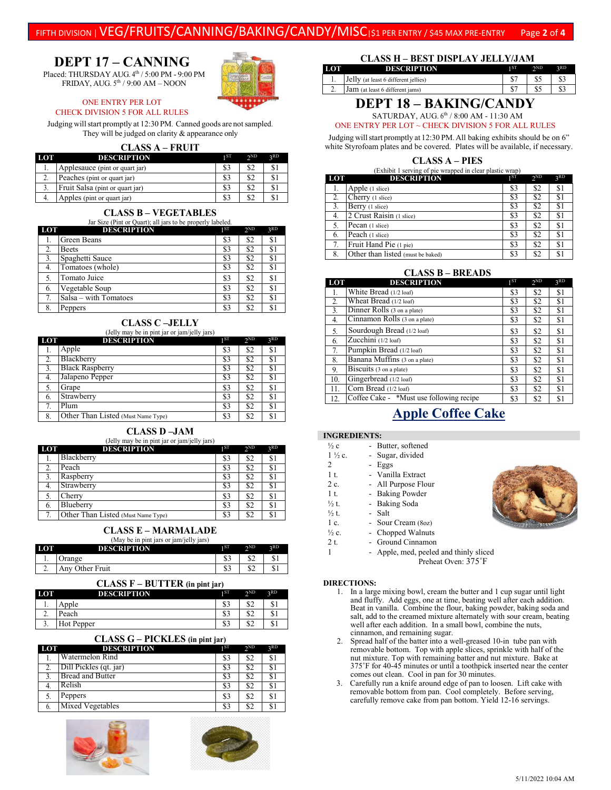# FIFTH DIVISION | VEG/FRUITS/CANNING/BAKING/CANDY/MISC|\$1 PER ENTRY / \$45 MAX PRE-ENTRY Page **<sup>2</sup>** of **<sup>4</sup>**

# **DEPT 17 – CANNING**

Placed: THURSDAY AUG.  $4<sup>th</sup> / 5:00$  PM - 9:00 PM FRIDAY, AUG.  $5<sup>th</sup>$  / 9:00 AM – NOON



#### ONE ENTRY PER LOT CHECK DIVISION 5 FOR ALL RULES

Judging will start promptly at 12:30 PM. Canned goods are not sampled. They will be judged on clarity & appearance only

## **CLASS A – FRUIT**

| LOT | <b>DESCRIPTION</b>              | 1 ST | 2ND | 2RD |
|-----|---------------------------------|------|-----|-----|
|     | Applesauce (pint or quart jar)  | \$3  |     | \$1 |
| z.  | Peaches (pint or quart jar)     | \$3  |     | \$1 |
|     | Fruit Salsa (pint or quart jar) | \$3  | \$2 | S1  |
|     | Apples (pint or quart jar)      | \$3  |     | \$ì |

**CLASS B – VEGETABLES**

Jar Size (Pint or Quart); all jars to be properly labeled.

| LOT | <b>DESCRIPTION</b>    | 1 <sub>ST</sub> | 2 <sub>ND</sub> | 3RD |
|-----|-----------------------|-----------------|-----------------|-----|
| l.  | Green Beans           | \$3             | \$2             | \$1 |
| 2.  | Beets                 | \$3             | \$2             | \$1 |
| 3.  | Spaghetti Sauce       | \$3             | \$2             | \$1 |
| 4.  | Tomatoes (whole)      | \$3             | \$2             | \$1 |
| 5.  | Tomato Juice          | \$3             | \$2             | \$1 |
| 6.  | Vegetable Soup        | \$3             | \$2             | \$1 |
| 7.  | Salsa - with Tomatoes | \$3             | \$2             | \$1 |
| 8.  | Peppers               | \$3             | \$2             | \$1 |

## **CLASS C –JELLY**

| LOT              | <b>DESCRIPTION</b>                 | 1 <sub>ST</sub> | 2 <sub>ND</sub> | 3 <sup>RD</sup> |
|------------------|------------------------------------|-----------------|-----------------|-----------------|
| l.               | Apple                              | \$3             | \$2             | \$1             |
| 2.               | Blackberry                         | \$3             | \$2             | \$1             |
| $\overline{3}$ . | <b>Black Raspberry</b>             | \$3             | \$2             | \$1             |
|                  | Jalapeno Pepper                    | \$3             | \$2             | S.              |
| -5.              | Grape                              | \$3             | \$2             | \$1             |
| 6.               | Strawberry                         | \$3             | \$2             | \$1             |
|                  | Plum                               | \$3             | \$2             | \$1             |
| 8.               | Other Than Listed (Must Name Type) | \$3             | \$2             | \$1             |

## **CLASS D –JAM**

| LOT | (Jelly may be in pint jar or jam/jelly jars)<br><b>DESCRIPTION</b> | 1ST | 2 <sub>ND</sub> | 3 <sup>RD</sup> |
|-----|--------------------------------------------------------------------|-----|-----------------|-----------------|
| ı.  | Blackberry                                                         | \$3 | \$2             | \$1             |
|     | Peach                                                              | \$3 | \$2             | \$1             |
| 3.  | Raspberry                                                          | \$3 | \$2             | S.              |
| -4. | Strawberry                                                         | \$3 | \$2             | \$              |
|     | Cherry                                                             | \$3 | \$2             | S.              |
| 6.  | Blueberry                                                          | \$3 | \$2             | \$1             |
|     | Other Than Listed (Must Name Type)                                 | \$3 | \$2             | \$              |

### **CLASS E – MARMALADE**

#### (May be in pint jars or jam/jelly jars)

| LOT | DESCRIPTION | 1 ST     | 2ND<br>- | 2RD |
|-----|-------------|----------|----------|-----|
|     | ange        | ሰሳ<br>ФJ | ሰሳ<br>ے⊙ | \$1 |
| ٠.  | Other Fruit | ሰሳ<br>ФJ | ሰሳ<br>ے⊙ | \$1 |

| $CLASS F - BUTTER$ (in pint jar) |                    |     |                 |     |  |  |
|----------------------------------|--------------------|-----|-----------------|-----|--|--|
| LOT                              | <b>DESCRIPTION</b> | 1ST | 2 <sub>ND</sub> | 2RD |  |  |
|                                  | Apple              | \$3 | \$2             | S.  |  |  |
|                                  | Peach              | \$3 | \$2             | S.  |  |  |
|                                  | Hot Pepper         | \$3 | \$2             | S.  |  |  |

| <b>CLASS G - PICKLES</b> (in pint jar) |                         |      |                 |     |  |  |
|----------------------------------------|-------------------------|------|-----------------|-----|--|--|
| LOT                                    | <b>DESCRIPTION</b>      | 1 ST | 2 <sub>ND</sub> | 3RD |  |  |
|                                        | Watermelon Rind         | \$3  | \$2             | S.  |  |  |
|                                        | Dill Pickles (qt. jar)  | \$3  | \$2             |     |  |  |
|                                        | <b>Bread and Butter</b> | \$3  | \$2             |     |  |  |
|                                        | Relish                  | \$3  | \$2             | S   |  |  |
|                                        | Peppers                 | \$3  | \$2             | \$  |  |  |
|                                        | Mixed Vegetables        | \$3  | \$2             |     |  |  |





#### **CLASS H – BEST DISPLAY JELLY/JAM**

| LOT                              | <b>DESCRIPTION</b>                   | ı ST | $\gamma$ <sub>ND</sub> | 2RD |  |  |
|----------------------------------|--------------------------------------|------|------------------------|-----|--|--|
| ı.                               | Jelly (at least 6 different jellies) | ሰማ   |                        | \$3 |  |  |
| <b>L.</b>                        | Jam (at least 6 different jams)      |      |                        |     |  |  |
| ---- <i>-</i> --------<br>------ |                                      |      |                        |     |  |  |

# **DEPT 18 – BAKING/CANDY**

SATURDAY, AUG. 6th / 8:00 AM - 11:30 AM

ONE ENTRY PER LOT  $\sim$  CHECK DIVISION 5 FOR ALL RULES

Judging will start promptly at 12:30 PM. All baking exhibits should be on 6" white Styrofoam plates and be covered. Plates will be available, if necessary.

|  |  | <b>CLASS A – PIES</b> |  |  |
|--|--|-----------------------|--|--|
|  |  |                       |  |  |

| (Exhibit 1 serving of pie wrapped in clear plastic wrap) |  |  |
|----------------------------------------------------------|--|--|
|----------------------------------------------------------|--|--|

| LOT | <b>DESCRIPTION</b>                | 1ST | 2 <sub>ND</sub> | 3 <sub>RD</sub> |
|-----|-----------------------------------|-----|-----------------|-----------------|
|     | Apple (1 slice)                   | \$3 | \$2             | \$1             |
| 2.  | Cherry (1 slice)                  | S3  | \$2             | \$1             |
| 3.  | Berry (1 slice)                   | S3  | \$2             |                 |
| 4.  | 2 Crust Raisin (1 slice)          | \$3 | \$2             | \$1             |
| 5.  | Pecan (1 slice)                   | \$3 | \$2             | \$1             |
| 6.  | Peach (1 slice)                   | \$3 | \$2             | \$1             |
| 7.  | Fruit Hand Pie (1 pie)            | \$3 | \$2             | \$1             |
| 8.  | Other than listed (must be baked) | \$3 | \$2             |                 |

### **CLASS B – BREADS**

| LOT | <b>DESCRIPTION</b>                       | 1 <sub>ST</sub> | 2 <sub>ND</sub> | 3 <sup>RD</sup> |
|-----|------------------------------------------|-----------------|-----------------|-----------------|
| 1.  | White Bread (1/2 loaf)                   | \$3             | \$2             | \$1             |
| 2.  | Wheat Bread (1/2 loaf)                   | \$3             | \$2             | \$1             |
| 3.  | Dinner Rolls (3 on a plate)              | \$3             | \$2             | \$1             |
| 4.  | Cinnamon Rolls (3 on a plate)            | \$3             | \$2             | \$1             |
| 5.  | Sourdough Bread (1/2 loaf)               | \$3             | \$2             | \$1             |
| 6.  | Zucchini (1/2 loaf)                      | \$3             | \$2             | \$1             |
| 7.  | Pumpkin Bread (1/2 loaf)                 | \$3             | \$2             | \$1             |
| 8.  | Banana Muffins (3 on a plate)            | \$3             | \$2             | \$1             |
| 9.  | Biscuits (3 on a plate)                  | \$3             | \$2             | \$1             |
| 10. | Gingerbread (1/2 loaf)                   | \$3             | \$2             | \$1             |
| 11. | Corn Bread (1/2 loaf)                    | \$3             | \$2             | \$1             |
| 12. | Coffee Cake - *Must use following recipe | \$3             | \$2             | \$1             |

# **Apple Coffee Cake**

#### **INGREDIENTS:**

| $\frac{1}{2}c$    | - Butter, softened  |  |
|-------------------|---------------------|--|
| $1\frac{1}{2}c$ . | - Sugar, divided    |  |
| 2                 | - Eggs              |  |
| 1 t.              | - Vanilla Extract   |  |
| 2 c.              | - All Purpose Flour |  |
| 1 <sub>t</sub>    | - Baking Powder     |  |
| $\frac{1}{2}t$ .  | - Baking Soda       |  |
| $\frac{1}{2}t$ .  | - Salt              |  |
| 1 c.              | - Sour Cream (8oz)  |  |
| $\frac{1}{2}$ c.  | - Chopped Walnuts   |  |
| 2 t.              | - Ground Cinnamon   |  |

1 - Apple, med, peeled and thinly sliced

Preheat Oven:  $375^\circ$ F

#### **DIRECTIONS:**

- 1. In a large mixing bowl, cream the butter and 1 cup sugar until light and fluffy. Add eggs, one at time, beating well after each addition. Beat in vanilla. Combine the flour, baking powder, baking soda and salt, add to the creamed mixture alternately with sour cream, beating well after each addition. In a small bowl, combine the nuts, cinnamon, and remaining sugar.
- 2. Spread half of the batter into a well-greased 10-in tube pan with removable bottom. Top with apple slices, sprinkle with half of the nut mixture. Top with remaining batter and nut mixture. Bake at 375˚F for 40-45 minutes or until a toothpick inserted near the center comes out clean. Cool in pan for 30 minutes.
- 3. Carefully run a knife around edge of pan to loosen. Lift cake with removable bottom from pan. Cool completely. Before serving, carefully remove cake from pan bottom. Yield 12-16 servings.

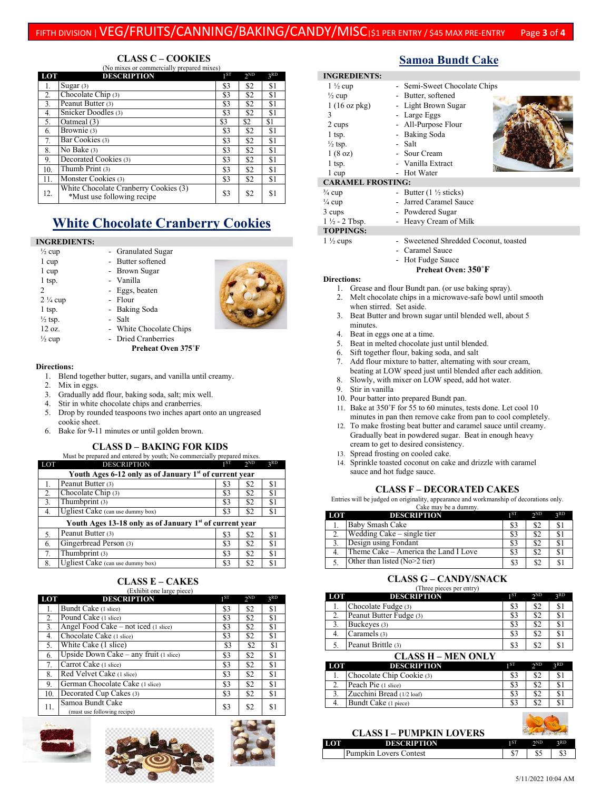# FIFTH DIVISION | VEG/FRUITS/CANNING/BAKING/CANDY/MISC|\$1 PER ENTRY / \$45 MAX PRE-ENTRY Page **<sup>3</sup>** of **<sup>4</sup>**

#### **CLASS C – COOKIES** (No mixes or commercially prepared mixes)

| LOT | <b>DESCRIPTION</b>                                                  | 1ST | 2 <sub>ND</sub> | 3RD |
|-----|---------------------------------------------------------------------|-----|-----------------|-----|
| 1.  | Sugar $(3)$                                                         | \$3 | \$2             | \$1 |
| 2.  | Chocolate Chip $(3)$                                                | \$3 | \$2             | \$1 |
| 3.  | Peanut Butter $(3)$                                                 | \$3 | \$2             | \$1 |
| 4.  | Snicker Doodles (3)                                                 | \$3 | \$2             | \$1 |
| 5.  | Oatmeal (3)                                                         | \$3 | \$2             | \$1 |
| 6.  | Brownie (3)                                                         | \$3 | \$2             | \$1 |
| 7.  | Bar Cookies (3)                                                     | \$3 | \$2             | \$1 |
| 8.  | No Bake (3)                                                         | \$3 | \$2             | \$1 |
| 9.  | Decorated Cookies (3)                                               | \$3 | \$2             | \$1 |
| 10. | Thumb Print (3)                                                     | \$3 | \$2             | \$1 |
| 11. | Monster Cookies (3)                                                 | \$3 | \$2             | \$1 |
| 12. | White Chocolate Cranberry Cookies (3)<br>*Must use following recipe | \$3 | \$2             | \$1 |

# **White Chocolate Cranberry Cookies**

## **INGREDIENTS:**

<sup>1/2</sup> cup - Granulated Sugar 1 cup - Butter softened 1 cup - Brown Sugar 1 tsp. **- Vanilla** 2 - Eggs, beaten  $2\frac{1}{4}$  cup - Flour 1 tsp. **- Baking Soda**  $\frac{1}{2}$  tsp.  $\qquad \qquad$  - Salt 12 oz. - White Chocolate Chips  $\frac{1}{2}$  cup - Dried Cranberries **Preheat Oven 375˚F**

## **Directions:**

- 1. Blend together butter, sugars, and vanilla until creamy.
- 2. Mix in eggs.
- 3. Gradually add flour, baking soda, salt; mix well.
- 4. Stir in white chocolate chips and cranberries.
- 5. Drop by rounded teaspoons two inches apart onto an ungreased cookie sheet.
- 6. Bake for 9-11 minutes or until golden brown.

## **CLASS D – BAKING FOR KIDS**

| LOT | Must be prepared and entered by youth; No commercially prepared mixes.<br><b>DESCRIPTION</b> | 1ST | 2 <sub>ND</sub> | 3RD |  |  |
|-----|----------------------------------------------------------------------------------------------|-----|-----------------|-----|--|--|
|     | Youth Ages 6-12 only as of January 1st of current year                                       |     |                 |     |  |  |
|     | Peanut Butter (3)                                                                            | \$3 | \$2             | \$1 |  |  |
| 2.  | Chocolate Chip $(3)$                                                                         | \$3 | \$2             | \$1 |  |  |
| 3.  | Thumbprint $(3)$                                                                             | \$3 | \$2             | \$1 |  |  |
| 4.  | Ugliest Cake (can use dummy box)                                                             | \$3 | \$2             | \$1 |  |  |
|     | Youth Ages 13-18 only as of January 1st of current year                                      |     |                 |     |  |  |
| 5.  | Peanut Butter (3)                                                                            | \$3 | \$2             | \$1 |  |  |
| 6.  | Gingerbread Person (3)                                                                       | \$3 | \$2             | \$1 |  |  |
| 7.  | Thumbprint (3)                                                                               | \$3 | \$2             | \$1 |  |  |
| 8.  | Ugliest Cake (can use dummy box)                                                             | \$3 | \$2             | S.  |  |  |

#### **CLASS E – CAKES** er een.<br>Exhibit one large p

| LOT | <b>DESCRIPTION</b>                              | 1 <sub>ST</sub> | 2 <sub>ND</sub> | 3RD |
|-----|-------------------------------------------------|-----------------|-----------------|-----|
| 1.  | Bundt Cake (1 slice)                            | \$3             | \$2             | \$1 |
| 2.  | Pound Cake (1 slice)                            | \$3             | \$2             | \$1 |
| 3.  | Angel Food Cake – not iced (1 slice)            | \$3             | \$2             | \$1 |
| 4.  | Chocolate Cake (1 slice)                        | \$3             | \$2             | \$1 |
| 5.  | White Cake (1 slice)                            | \$3             | \$2             | \$1 |
| 6.  | Upside Down Cake $-$ any fruit (1 slice)        | \$3             | \$2             | \$1 |
| 7.  | Carrot Cake (1 slice)                           | \$3             | \$2             | \$1 |
| 8.  | Red Velvet Cake (1 slice)                       | \$3             | \$2             | \$1 |
| 9.  | German Chocolate Cake (1 slice)                 | \$3             | \$2             | \$1 |
| 10. | Decorated Cup Cakes (3)                         | \$3             | \$2             | \$1 |
| 11. | Samoa Bundt Cake<br>(must use following recipe) | \$3             | \$2             | \$1 |







## **Samoa Bundt Cake**

| <b>INGREDIENTS:</b>      |                                     |
|--------------------------|-------------------------------------|
| $1\frac{1}{2}$ cup       | - Semi-Sweet Chocolate Chips        |
| $\frac{1}{2}$ cup        | - Butter, softened                  |
| $1(16 \text{ oz } pkg)$  | - Light Brown Sugar                 |
| 3                        | - Large Eggs                        |
| 2 cups                   | - All-Purpose Flour                 |
| $1$ tsp.                 | - Baking Soda                       |
| $\frac{1}{2}$ tsp.       | - Salt                              |
| 1(8 oz)                  | - Sour Cream                        |
| $1$ tsp.                 | - Vanilla Extract                   |
| 1 cup                    | - Hot Water                         |
| <b>CARAMEL FROSTING:</b> |                                     |
| $\frac{3}{4}$ cup        | - Butter $(1 \frac{1}{2}$ sticks)   |
| $\frac{1}{4}$ cup        | - Jarred Caramel Sauce              |
| 3 cups                   | - Powdered Sugar                    |
| $1\frac{1}{2}$ - 2 Tbsp. | - Heavy Cream of Milk               |
| <b>TOPPINGS:</b>         |                                     |
| $1\frac{1}{2}$ cups      | Sweetened Shredded Coconut, toasted |
|                          | Caramel Sauce                       |
|                          | Hot Fudge Sauce                     |
|                          | Preheat Oven: 350°F                 |

## **Directions:**

- 1. Grease and flour Bundt pan. (or use baking spray).
- 2. Melt chocolate chips in a microwave-safe bowl until smooth when stirred. Set aside.
- 3. Beat Butter and brown sugar until blended well, about 5 minutes.
- 4. Beat in eggs one at a time.
- 5. Beat in melted chocolate just until blended.
- 6. Sift together flour, baking soda, and salt
- 7. Add flour mixture to batter, alternating with sour cream, beating at LOW speed just until blended after each addition.
- 8. Slowly, with mixer on LOW speed, add hot water.
- 9. Stir in vanilla
- 10. Pour batter into prepared Bundt pan.
- 11. Bake at 350˚F for 55 to 60 minutes, tests done. Let cool 10 minutes in pan then remove cake from pan to cool completely.
- 12. To make frosting beat butter and caramel sauce until creamy. Gradually beat in powdered sugar. Beat in enough heavy cream to get to desired consistency.
- 13. Spread frosting on cooled cake.
- 14. Sprinkle toasted coconut on cake and drizzle with caramel sauce and hot fudge sauce.

## **CLASS F – DECORATED CAKES**

Entries will be judged on originality, appearance and workmanship of decorations only.

| LOT | <b>DESCRIPTION</b>                   | 1ST | 2 <sub>ND</sub> | 2RD |
|-----|--------------------------------------|-----|-----------------|-----|
|     | Baby Smash Cake                      | S3  | \$2             |     |
|     | Wedding Cake – single tier           | S3  | \$2             |     |
|     | Design using Fondant                 | \$3 | \$2             |     |
|     | Theme Cake – America the Land I Love | \$3 | \$2             |     |
|     | Other than listed (No>2 tier)        | \$3 | \$2             |     |

# **CLASS G – CANDY/SNACK**

|                    | (Three pieces per entry) |                 |                 |     |
|--------------------|--------------------------|-----------------|-----------------|-----|
| LOT                | <b>DESCRIPTION</b>       | 1 <sub>ST</sub> | 2 <sub>ND</sub> | 3RD |
|                    | Chocolate Fudge (3)      | \$3             | \$2             | \$1 |
|                    | Peanut Butter Fudge (3)  | \$3             | \$2             |     |
|                    | Buckeyes (3)             | \$3             | \$2             |     |
| 4.                 | Caramels (3)             | \$3             | \$2             |     |
|                    | Peanut Brittle (3)       | \$3             | \$2             |     |
| CLASS H _ MEN ONLV |                          |                 |                 |     |

|     | СЕДАЗЯ П – МІЛІ ОІЛЕ І    |     |                 |     |
|-----|---------------------------|-----|-----------------|-----|
| LOT | <b>DESCRIPTION</b>        | 1ST | 2 <sub>ND</sub> | 2RD |
|     | Chocolate Chip Cookie (3) | \$3 | \$2             |     |
|     | Peach Pie (1 slice)       | 83  | \$2             |     |
|     | Zucchini Bread (1/2 loaf) | S3  | \$2             |     |
|     | Bundt Cake (1 piece)      |     | \$2             |     |

|     | <b>CLASS I – PUMPKIN LOVERS</b> |      |             |     |
|-----|---------------------------------|------|-------------|-----|
| LOT | <b>DESCRIPTION</b>              | 1 ST | $\gamma$ ND | 2RD |
|     | Pumpkin Lovers Contest          |      |             |     |

 $\Delta$ a dh